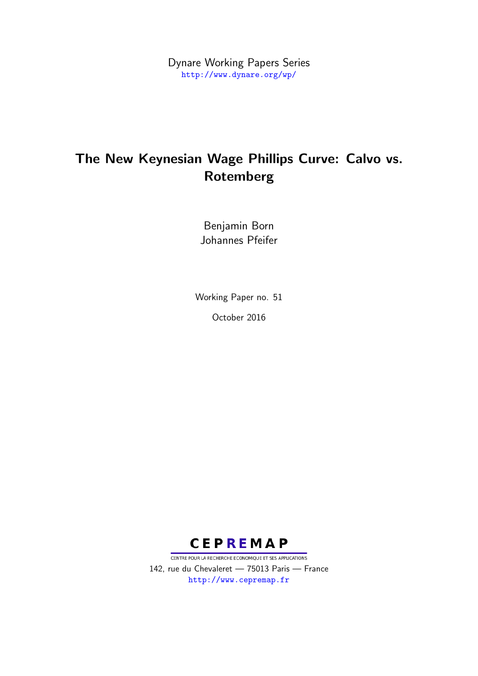Dynare Working Papers Series <http://www.dynare.org/wp/>

# The New Keynesian Wage Phillips Curve: Calvo vs. Rotemberg

Benjamin Born Johannes Pfeifer

Working Paper no. 51 October 2016



CENTRE POUR LA RECHERCHE ECONOMIQUE ET SES APPLICATIONS 142, rue du Chevaleret — 75013 Paris — France <http://www.cepremap.fr>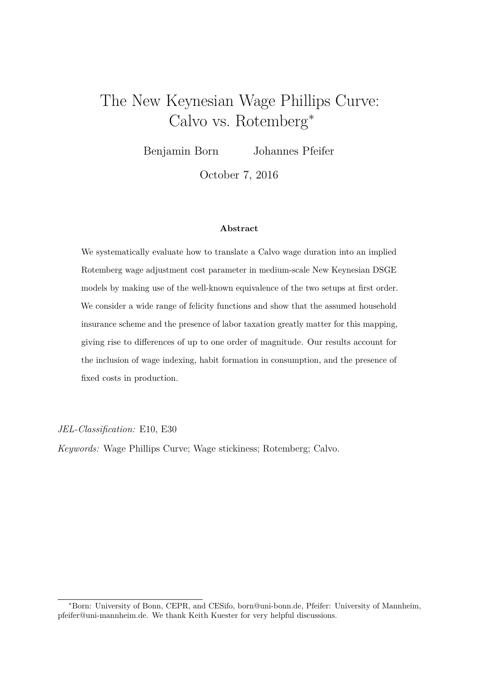# The New Keynesian Wage Phillips Curve: Calvo vs. Rotemberg<sup>∗</sup>

Benjamin Born Johannes Pfeifer

October 7, 2016

#### **Abstract**

We systematically evaluate how to translate a Calvo wage duration into an implied Rotemberg wage adjustment cost parameter in medium-scale New Keynesian DSGE models by making use of the well-known equivalence of the two setups at first order. We consider a wide range of felicity functions and show that the assumed household insurance scheme and the presence of labor taxation greatly matter for this mapping, giving rise to differences of up to one order of magnitude. Our results account for the inclusion of wage indexing, habit formation in consumption, and the presence of fixed costs in production.

*JEL-Classification:* E10, E30

*Keywords:* Wage Phillips Curve; Wage stickiness; Rotemberg; Calvo.

<sup>∗</sup>Born: University of Bonn, CEPR, and CESifo, born@uni-bonn.de, Pfeifer: University of Mannheim, pfeifer@uni-mannheim.de. We thank Keith Kuester for very helpful discussions.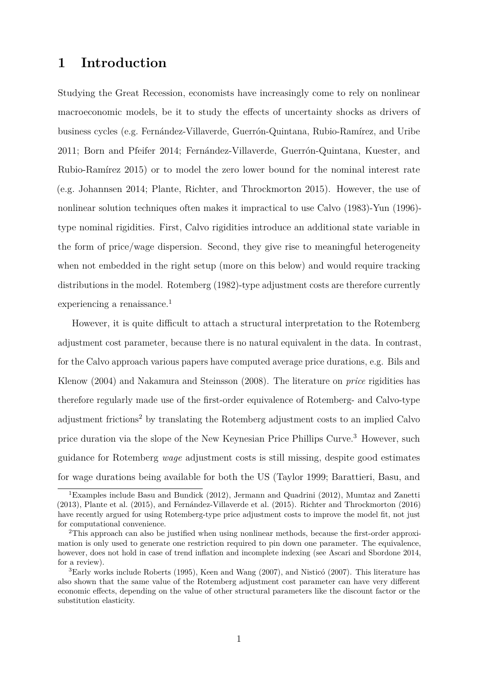### **1 Introduction**

Studying the Great Recession, economists have increasingly come to rely on nonlinear macroeconomic models, be it to study the effects of uncertainty shocks as drivers of business cycles (e.g. Fernández-Villaverde, Guerrón-Quintana, Rubio-Ramírez, and Uribe [2011;](#page-16-0) Born and Pfeifer [2014;](#page-16-1) Fernández-Villaverde, Guerrón-Quintana, Kuester, and Rubio-Ramírez [2015\)](#page-16-2) or to model the zero lower bound for the nominal interest rate (e.g. Johannsen [2014;](#page-17-0) Plante, Richter, and Throckmorton [2015\)](#page-17-1). However, the use of nonlinear solution techniques often makes it impractical to use Calvo [\(1983\)](#page-16-3)-Yun [\(1996\)](#page-18-0) type nominal rigidities. First, Calvo rigidities introduce an additional state variable in the form of price/wage dispersion. Second, they give rise to meaningful heterogeneity when not embedded in the right setup (more on this below) and would require tracking distributions in the model. Rotemberg [\(1982\)](#page-17-2)-type adjustment costs are therefore currently experiencing a renaissance.<sup>[1](#page-2-0)</sup>

However, it is quite difficult to attach a structural interpretation to the Rotemberg adjustment cost parameter, because there is no natural equivalent in the data. In contrast, for the Calvo approach various papers have computed average price durations, e.g. Bils and Klenow [\(2004\)](#page-16-4) and Nakamura and Steinsson [\(2008\)](#page-17-3). The literature on *price* rigidities has therefore regularly made use of the first-order equivalence of Rotemberg- and Calvo-type adjustment frictions<sup>[2](#page-2-1)</sup> by translating the Rotemberg adjustment costs to an implied Calvo price duration via the slope of the New Keynesian Price Phillips Curve.<sup>[3](#page-2-2)</sup> However, such guidance for Rotemberg *wage* adjustment costs is still missing, despite good estimates for wage durations being available for both the US (Taylor [1999;](#page-18-1) Barattieri, Basu, and

<span id="page-2-0"></span><sup>1</sup>Examples include Basu and Bundick [\(2012\)](#page-16-5), Jermann and Quadrini [\(2012\)](#page-17-4), Mumtaz and Zanetti [\(2013\)](#page-17-5), Plante et al. [\(2015\)](#page-17-1), and Fernández-Villaverde et al. [\(2015\)](#page-16-2). Richter and Throckmorton [\(2016\)](#page-17-6) have recently argued for using Rotemberg-type price adjustment costs to improve the model fit, not just for computational convenience.

<span id="page-2-1"></span><sup>&</sup>lt;sup>2</sup>This approach can also be justified when using nonlinear methods, because the first-order approximation is only used to generate one restriction required to pin down one parameter. The equivalence, however, does not hold in case of trend inflation and incomplete indexing (see Ascari and Sbordone [2014,](#page-16-6) for a review).

<span id="page-2-2"></span><sup>3</sup>Early works include Roberts [\(1995\)](#page-17-7), Keen and Wang [\(2007\)](#page-17-8), and Nisticó [\(2007\)](#page-17-9). This literature has also shown that the same value of the Rotemberg adjustment cost parameter can have very different economic effects, depending on the value of other structural parameters like the discount factor or the substitution elasticity.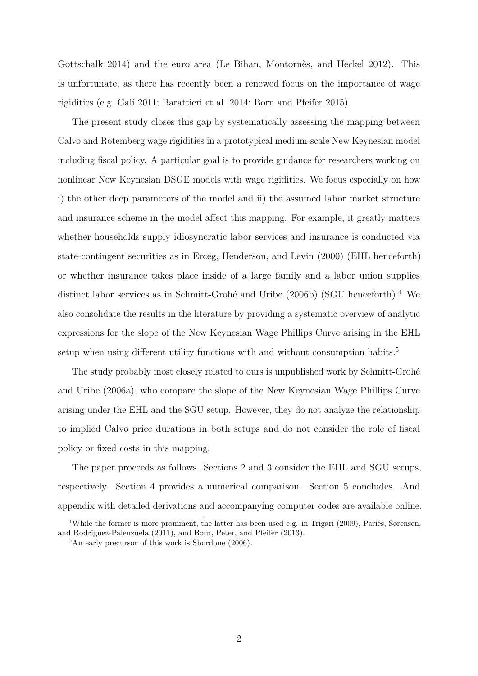Gottschalk [2014\)](#page-16-7) and the euro area (Le Bihan, Montornès, and Heckel [2012\)](#page-17-10). This is unfortunate, as there has recently been a renewed focus on the importance of wage rigidities (e.g. Galí [2011;](#page-17-11) Barattieri et al. [2014;](#page-16-7) Born and Pfeifer [2015\)](#page-16-8).

The present study closes this gap by systematically assessing the mapping between Calvo and Rotemberg wage rigidities in a prototypical medium-scale New Keynesian model including fiscal policy. A particular goal is to provide guidance for researchers working on nonlinear New Keynesian DSGE models with wage rigidities. We focus especially on how i) the other deep parameters of the model and ii) the assumed labor market structure and insurance scheme in the model affect this mapping. For example, it greatly matters whether households supply idiosyncratic labor services and insurance is conducted via state-contingent securities as in Erceg, Henderson, and Levin [\(2000\)](#page-16-9) (EHL henceforth) or whether insurance takes place inside of a large family and a labor union supplies distinct labor services as in Schmitt-Grohé and Uribe [\(2006b\)](#page-18-2) (SGU henceforth).<sup>[4](#page-3-0)</sup> We also consolidate the results in the literature by providing a systematic overview of analytic expressions for the slope of the New Keynesian Wage Phillips Curve arising in the EHL setup when using different utility functions with and without consumption habits.<sup>[5](#page-3-1)</sup>

The study probably most closely related to ours is unpublished work by Schmitt-Grohé and Uribe [\(2006a\)](#page-18-3), who compare the slope of the New Keynesian Wage Phillips Curve arising under the EHL and the SGU setup. However, they do not analyze the relationship to implied Calvo price durations in both setups and do not consider the role of fiscal policy or fixed costs in this mapping.

The paper proceeds as follows. Sections [2](#page-4-0) and [3](#page-11-0) consider the EHL and SGU setups, respectively. Section [4](#page-14-0) provides a numerical comparison. Section [5](#page-15-0) concludes. And appendix with detailed derivations and accompanying computer codes are available online.

<span id="page-3-0"></span><sup>4</sup>While the former is more prominent, the latter has been used e.g. in Trigari [\(2009\)](#page-18-4), Pariés, Sørensen, and Rodriguez-Palenzuela [\(2011\)](#page-17-12), and Born, Peter, and Pfeifer [\(2013\)](#page-16-10).

<span id="page-3-1"></span><sup>5</sup>An early precursor of this work is Sbordone [\(2006\)](#page-18-5).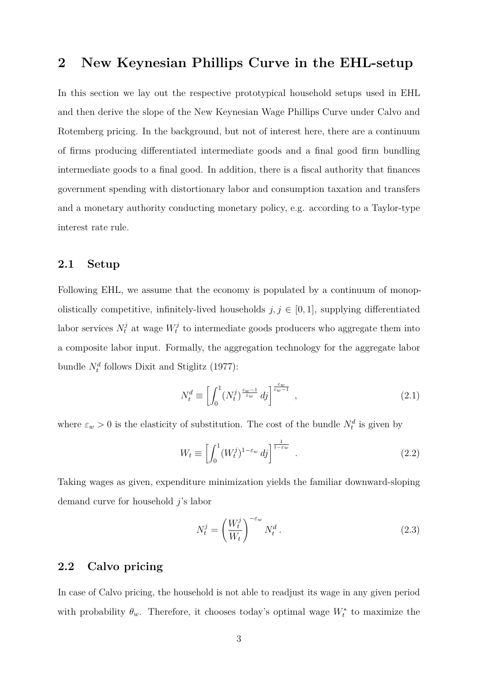### <span id="page-4-0"></span>**2 New Keynesian Phillips Curve in the EHL-setup**

In this section we lay out the respective prototypical household setups used in EHL and then derive the slope of the New Keynesian Wage Phillips Curve under Calvo and Rotemberg pricing. In the background, but not of interest here, there are a continuum of firms producing differentiated intermediate goods and a final good firm bundling intermediate goods to a final good. In addition, there is a fiscal authority that finances government spending with distortionary labor and consumption taxation and transfers and a monetary authority conducting monetary policy, e.g. according to a Taylor-type interest rate rule.

#### **2.1 Setup**

Following EHL, we assume that the economy is populated by a continuum of monopolistically competitive, infinitely-lived households  $j, j \in [0, 1]$ , supplying differentiated labor services  $N_t^j$  at wage  $W_t^j$  $t_t^j$  to intermediate goods producers who aggregate them into a composite labor input. Formally, the aggregation technology for the aggregate labor bundle  $N_t^d$  follows Dixit and Stiglitz [\(1977\)](#page-16-11):

$$
N_t^d \equiv \left[ \int_0^1 (N_t^j)^{\frac{\varepsilon_w - 1}{\varepsilon_w}} \, dj \right]^{\frac{\varepsilon_w}{\varepsilon_w - 1}},\tag{2.1}
$$

where  $\varepsilon_w > 0$  is the elasticity of substitution. The cost of the bundle  $N_t^d$  is given by

$$
W_t \equiv \left[ \int_0^1 (W_t^j)^{1-\varepsilon_w} \, dj \right]^{\frac{1}{1-\varepsilon_w}} \tag{2.2}
$$

Taking wages as given, expenditure minimization yields the familiar downward-sloping demand curve for household *j*'s labor

$$
N_t^j = \left(\frac{W_t^j}{W_t}\right)^{-\varepsilon_w} N_t^d \,. \tag{2.3}
$$

### **2.2 Calvo pricing**

In case of Calvo pricing, the household is not able to readjust its wage in any given period with probability  $\theta_w$ . Therefore, it chooses today's optimal wage  $W_t^*$  to maximize the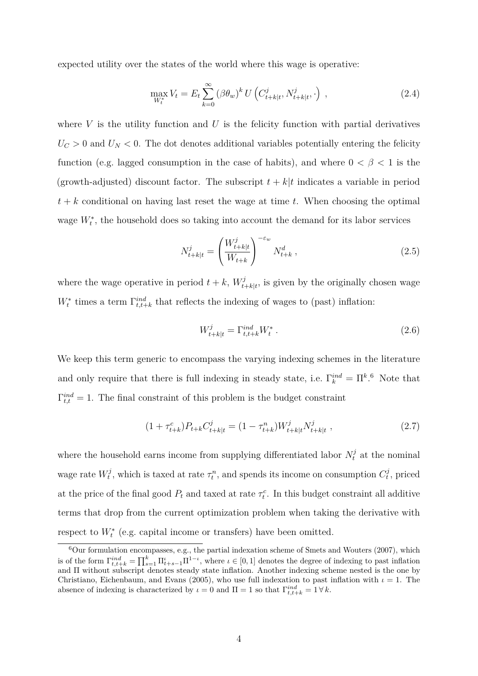expected utility over the states of the world where this wage is operative:

$$
\max_{W_t^*} V_t = E_t \sum_{k=0}^{\infty} (\beta \theta_w)^k U \left( C_{t+k|t}^j, N_{t+k|t}^j, \cdot \right) , \qquad (2.4)
$$

where  $V$  is the utility function and  $U$  is the felicity function with partial derivatives  $U_C > 0$  and  $U_N < 0$ . The dot denotes additional variables potentially entering the felicity function (e.g. lagged consumption in the case of habits), and where  $0 < \beta < 1$  is the (growth-adjusted) discount factor. The subscript  $t + k|t$  indicates a variable in period  $t + k$  conditional on having last reset the wage at time  $t$ . When choosing the optimal wage  $W_t^*$ , the household does so taking into account the demand for its labor services

<span id="page-5-1"></span>
$$
N_{t+k|t}^{j} = \left(\frac{W_{t+k|t}^{j}}{W_{t+k}}\right)^{-\varepsilon_w} N_{t+k}^{d} , \qquad (2.5)
$$

where the wage operative in period  $t + k$ ,  $W_t^j$ .  $t_{t+k|t}$ , is given by the originally chosen wage  $W_t^*$  times a term  $\Gamma_{t,t+k}^{ind}$  that reflects the indexing of wages to (past) inflation:

<span id="page-5-2"></span>
$$
W_{t+k|t}^j = \Gamma_{t,t+k}^{ind} W_t^* \tag{2.6}
$$

We keep this term generic to encompass the varying indexing schemes in the literature and only require that there is full indexing in steady state, i.e.  $\Gamma_k^{ind} = \Pi^k$ <sup>[6](#page-5-0)</sup> Note that  $\Gamma_{t,t}^{ind} = 1$ . The final constraint of this problem is the budget constraint

$$
(1 + \tau_{t+k}^c)P_{t+k}C_{t+k|t}^j = (1 - \tau_{t+k}^n)W_{t+k|t}^j N_{t+k|t}^j ,
$$
\n(2.7)

where the household earns income from supplying differentiated labor  $N_t^j$  at the nominal wage rate  $W_t^j$  $t^{j}$ , which is taxed at rate  $\tau_t^n$ , and spends its income on consumption  $C_t^{j}$  $t<sub>t</sub><sup>0</sup>$ , priced at the price of the final good  $P_t$  and taxed at rate  $\tau_t^c$ . In this budget constraint all additive terms that drop from the current optimization problem when taking the derivative with respect to  $W_t^*$  (e.g. capital income or transfers) have been omitted.

<span id="page-5-0"></span> $6$ Our formulation encompasses, e.g., the partial indexation scheme of Smets and Wouters [\(2007\)](#page-18-6), which is of the form  $\Gamma_{t,t+k}^{ind} = \prod_{s=1}^{k} \Pi_{t+s-1}^{i} \Pi_{t-s}^{1-i}$ , where  $\iota \in [0,1]$  denotes the degree of indexing to past inflation and Π without subscript denotes steady state inflation. Another indexing scheme nested is the one by Christiano, Eichenbaum, and Evans [\(2005\)](#page-16-12), who use full indexation to past inflation with  $\iota = 1$ . The absence of indexing is characterized by  $\iota = 0$  and  $\Pi = 1$  so that  $\Gamma_{t,t+k}^{ind} = 1 \forall k$ .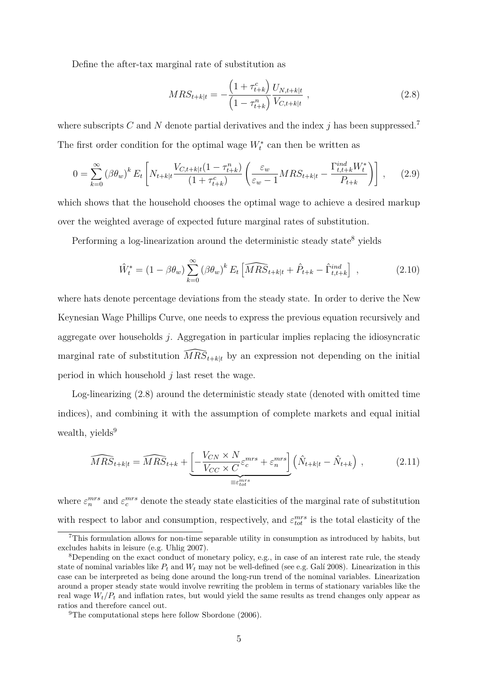Define the after-tax marginal rate of substitution as

<span id="page-6-2"></span>
$$
MRS_{t+k|t} = -\frac{\left(1 + \tau_{t+k}^c\right)}{\left(1 - \tau_{t+k}^n\right)} \frac{U_{N,t+k|t}}{V_{C,t+k|t}} , \qquad (2.8)
$$

where subscripts *C* and *N* denote partial derivatives and the index *j* has been suppressed.<sup>[7](#page-6-0)</sup> The first order condition for the optimal wage  $W_t^*$  can then be written as

$$
0 = \sum_{k=0}^{\infty} (\beta \theta_w)^k E_t \left[ N_{t+k|t} \frac{V_{C,t+k|t} (1 - \tau_{t+k}^n)}{(1 + \tau_{t+k}^c)} \left( \frac{\varepsilon_w}{\varepsilon_w - 1} M R S_{t+k|t} - \frac{\Gamma_{t,t+k}^{ind} W_t^*}{P_{t+k}} \right) \right], \quad (2.9)
$$

which shows that the household chooses the optimal wage to achieve a desired markup over the weighted average of expected future marginal rates of substitution.

Performing a log-linearization around the deterministic steady state<sup>[8](#page-6-1)</sup> yields

<span id="page-6-5"></span>
$$
\hat{W}_t^* = (1 - \beta \theta_w) \sum_{k=0}^{\infty} (\beta \theta_w)^k E_t \left[ \widehat{MRS}_{t+k|t} + \hat{P}_{t+k} - \hat{\Gamma}_{t,t+k}^{ind} \right], \qquad (2.10)
$$

where hats denote percentage deviations from the steady state. In order to derive the New Keynesian Wage Phillips Curve, one needs to express the previous equation recursively and aggregate over households *j*. Aggregation in particular implies replacing the idiosyncratic marginal rate of substitution  $\widehat{MRS}_{t+k|t}$  by an expression not depending on the initial period in which household *j* last reset the wage.

Log-linearizing [\(2.8\)](#page-6-2) around the deterministic steady state (denoted with omitted time indices), and combining it with the assumption of complete markets and equal initial wealth, yields<sup>[9](#page-6-3)</sup>

<span id="page-6-4"></span>
$$
\widehat{MRS}_{t+klt} = \widehat{MRS}_{t+k} + \underbrace{\left[ -\frac{V_{CN} \times N}{V_{CC} \times C} \varepsilon_c^{mrs} + \varepsilon_n^{mrs} \right]}_{\equiv \varepsilon_{tot}^{mrs}} \left( \hat{N}_{t+klt} - \hat{N}_{t+k} \right) ,
$$
\n(2.11)

where  $\varepsilon_n^{mrs}$  and  $\varepsilon_c^{mrs}$  denote the steady state elasticities of the marginal rate of substitution with respect to labor and consumption, respectively, and  $\varepsilon_{tot}^{mrs}$  is the total elasticity of the

<span id="page-6-0"></span><sup>7</sup>This formulation allows for non-time separable utility in consumption as introduced by habits, but excludes habits in leisure (e.g. Uhlig [2007\)](#page-18-7).

<span id="page-6-1"></span><sup>&</sup>lt;sup>8</sup>Depending on the exact conduct of monetary policy, e.g., in case of an interest rate rule, the steady state of nominal variables like  $P_t$  and  $W_t$  may not be well-defined (see e.g. Galí [2008\)](#page-16-13). Linearization in this case can be interpreted as being done around the long-run trend of the nominal variables. Linearization around a proper steady state would involve rewriting the problem in terms of stationary variables like the real wage  $W_t/P_t$  and inflation rates, but would yield the same results as trend changes only appear as ratios and therefore cancel out.

<span id="page-6-3"></span><sup>&</sup>lt;sup>9</sup>The computational steps here follow Sbordone  $(2006)$ .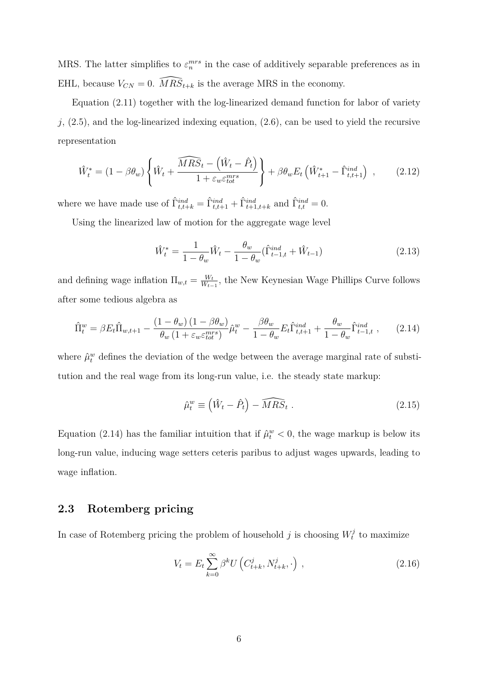MRS. The latter simplifies to  $\varepsilon_n^{mrs}$  in the case of additively separable preferences as in EHL, because  $V_{CN} = 0$ .  $\widehat{MRS}_{t+k}$  is the average MRS in the economy.

Equation [\(2.11\)](#page-6-4) together with the log-linearized demand function for labor of variety *j*, [\(2.5\)](#page-5-1), and the log-linearized indexing equation, [\(2.6\)](#page-5-2), can be used to yield the recursive representation

<span id="page-7-3"></span>
$$
\hat{W}_t^* = (1 - \beta \theta_w) \left\{ \hat{W}_t + \frac{\widehat{MRS}_t - (\hat{W}_t - \hat{P}_t)}{1 + \varepsilon_w \varepsilon_{tot}^{mrs}} \right\} + \beta \theta_w E_t \left( \hat{W}_{t+1}^* - \hat{\Gamma}_{t,t+1}^{ind} \right) ,\qquad(2.12)
$$

where we have made use of  $\hat{\Gamma}_{t,t+k}^{ind} = \hat{\Gamma}_{t,t+1}^{ind} + \hat{\Gamma}_{t+1,t+k}^{ind}$  and  $\hat{\Gamma}_{t,t}^{ind} = 0$ .

Using the linearized law of motion for the aggregate wage level

<span id="page-7-4"></span>
$$
\hat{W}_t^* = \frac{1}{1 - \theta_w} \hat{W}_t - \frac{\theta_w}{1 - \theta_w} (\hat{\Gamma}_{t-1,t}^{ind} + \hat{W}_{t-1})
$$
\n(2.13)

and defining wage inflation  $\Pi_{w,t} = \frac{W_t}{W_t}$  $\frac{W_t}{W_{t-1}}$ , the New Keynesian Wage Phillips Curve follows after some tedious algebra as

<span id="page-7-0"></span>
$$
\hat{\Pi}_t^w = \beta E_t \hat{\Pi}_{w,t+1} - \frac{(1 - \theta_w)(1 - \beta \theta_w)}{\theta_w (1 + \varepsilon_w \varepsilon_{tot}^{mrs})} \hat{\mu}_t^w - \frac{\beta \theta_w}{1 - \theta_w} E_t \hat{\Gamma}_{t,t+1}^{ind} + \frac{\theta_w}{1 - \theta_w} \hat{\Gamma}_{t-1,t}^{ind} ,\qquad(2.14)
$$

where  $\hat{\mu}^w_t$  defines the deviation of the wedge between the average marginal rate of substitution and the real wage from its long-run value, i.e. the steady state markup:

<span id="page-7-1"></span>
$$
\hat{\mu}_t^w \equiv \left(\hat{W}_t - \hat{P}_t\right) - \widehat{MRS}_t \ . \tag{2.15}
$$

Equation [\(2.14\)](#page-7-0) has the familiar intuition that if  $\hat{\mu}^w_t < 0$ , the wage markup is below its long-run value, inducing wage setters ceteris paribus to adjust wages upwards, leading to wage inflation.

### <span id="page-7-2"></span>**2.3 Rotemberg pricing**

In case of Rotemberg pricing the problem of household *j* is choosing  $W_t^j$  $t_t^{j}$  to maximize

$$
V_t = E_t \sum_{k=0}^{\infty} \beta^k U\left(C_{t+k}^j, N_{t+k}^j, \cdot\right) ,\qquad (2.16)
$$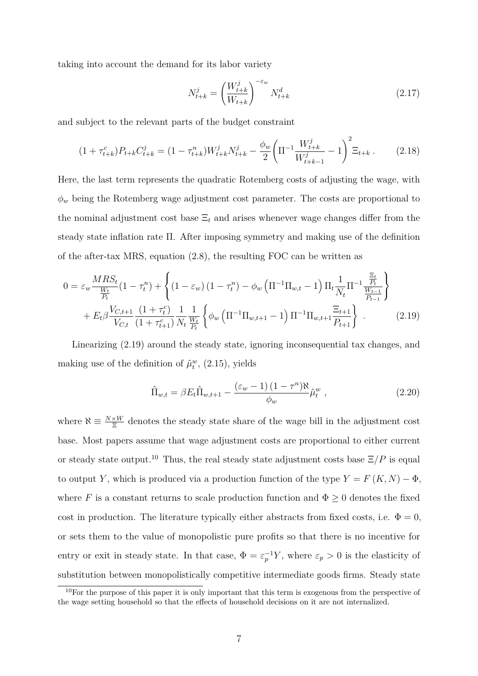taking into account the demand for its labor variety

$$
N_{t+k}^{j} = \left(\frac{W_{t+k}^{j}}{W_{t+k}}\right)^{-\varepsilon_w} N_{t+k}^{d}
$$
 (2.17)

and subject to the relevant parts of the budget constraint

$$
(1 + \tau_{t+k}^c) P_{t+k} C_{t+k}^j = (1 - \tau_{t+k}^n) W_{t+k}^j N_{t+k}^j - \frac{\phi_w}{2} \left( \Pi^{-1} \frac{W_{t+k}^j}{W_{t+k-1}^j} - 1 \right)^2 \Xi_{t+k} \,. \tag{2.18}
$$

Here, the last term represents the quadratic Rotemberg costs of adjusting the wage, with *φ<sup>w</sup>* being the Rotemberg wage adjustment cost parameter. The costs are proportional to the nominal adjustment cost base  $\Xi_t$  and arises whenever wage changes differ from the steady state inflation rate Π. After imposing symmetry and making use of the definition of the after-tax MRS, equation [\(2.8\)](#page-6-2), the resulting FOC can be written as

<span id="page-8-0"></span>
$$
0 = \varepsilon_w \frac{MRS_t}{\frac{W_t}{P_t}} (1 - \tau_t^n) + \left\{ (1 - \varepsilon_w) (1 - \tau_t^n) - \phi_w \left( \Pi^{-1} \Pi_{w,t} - 1 \right) \Pi_t \frac{1}{N_t} \Pi^{-1} \frac{\frac{\Xi_t}{P_t}}{\frac{W_{t-1}}{P_{t-1}}} \right\} + E_t \beta \frac{V_{C,t+1}}{V_{C,t}} \frac{(1 + \tau_t^c)}{(1 + \tau_{t+1}^c)} \frac{1}{N_t} \frac{1}{\frac{W_t}{P_t}} \left\{ \phi_w \left( \Pi^{-1} \Pi_{w,t+1} - 1 \right) \Pi^{-1} \Pi_{w,t+1} \frac{\Xi_{t+1}}{P_{t+1}} \right\} \tag{2.19}
$$

Linearizing [\(2.19\)](#page-8-0) around the steady state, ignoring inconsequential tax changes, and making use of the definition of  $\hat{\mu}^w_t$ , [\(2.15\)](#page-7-1), yields

<span id="page-8-2"></span>
$$
\hat{\Pi}_{w,t} = \beta E_t \hat{\Pi}_{w,t+1} - \frac{(\varepsilon_w - 1)(1 - \tau^n) \aleph}{\phi_w} \hat{\mu}_t^w , \qquad (2.20)
$$

where  $\aleph \equiv \frac{N \times W}{\Xi}$  denotes the steady state share of the wage bill in the adjustment cost base. Most papers assume that wage adjustment costs are proportional to either current or steady state output.<sup>[10](#page-8-1)</sup> Thus, the real steady state adjustment costs base  $\Xi/P$  is equal to output *Y*, which is produced via a production function of the type  $Y = F(K, N) - \Phi$ , where *F* is a constant returns to scale production function and  $\Phi \geq 0$  denotes the fixed cost in production. The literature typically either abstracts from fixed costs, i.e.  $\Phi = 0$ , or sets them to the value of monopolistic pure profits so that there is no incentive for entry or exit in steady state. In that case,  $\Phi = \varepsilon_p^{-1} Y$ , where  $\varepsilon_p > 0$  is the elasticity of substitution between monopolistically competitive intermediate goods firms. Steady state

<span id="page-8-1"></span><sup>10</sup>For the purpose of this paper it is only important that this term is exogenous from the perspective of the wage setting household so that the effects of household decisions on it are not internalized.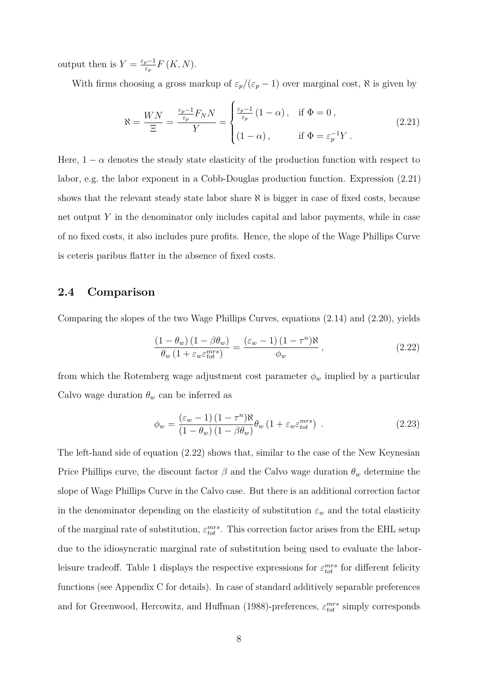output then is  $Y = \frac{\varepsilon_p - 1}{\varepsilon}$ *εp F* (*K, N*).

With firms choosing a gross markup of  $\varepsilon_p/(\varepsilon_p - 1)$  over marginal cost,  $\aleph$  is given by

<span id="page-9-0"></span>
$$
\aleph = \frac{WN}{\Xi} = \frac{\frac{\varepsilon_p - 1}{\varepsilon_p} F_N N}{Y} = \begin{cases} \frac{\varepsilon_p - 1}{\varepsilon_p} (1 - \alpha), & \text{if } \Phi = 0, \\ (1 - \alpha), & \text{if } \Phi = \varepsilon_p^{-1} Y. \end{cases}
$$
 (2.21)

Here,  $1 - \alpha$  denotes the steady state elasticity of the production function with respect to labor, e.g. the labor exponent in a Cobb-Douglas production function. Expression [\(2.21\)](#page-9-0) shows that the relevant steady state labor share  $\aleph$  is bigger in case of fixed costs, because net output *Y* in the denominator only includes capital and labor payments, while in case of no fixed costs, it also includes pure profits. Hence, the slope of the Wage Phillips Curve is ceteris paribus flatter in the absence of fixed costs.

#### <span id="page-9-3"></span>**2.4 Comparison**

Comparing the slopes of the two Wage Phillips Curves, equations [\(2.14\)](#page-7-0) and [\(2.20\)](#page-8-2), yields

<span id="page-9-1"></span>
$$
\frac{\left(1-\theta_w\right)\left(1-\beta\theta_w\right)}{\theta_w\left(1+\varepsilon_w\varepsilon_{tot}^{mrs}\right)} = \frac{\left(\varepsilon_w-1\right)\left(1-\tau^n\right)\aleph}{\phi_w},\tag{2.22}
$$

from which the Rotemberg wage adjustment cost parameter  $\phi_w$  implied by a particular Calvo wage duration  $\theta_w$  can be inferred as

<span id="page-9-2"></span>
$$
\phi_w = \frac{(\varepsilon_w - 1) (1 - \tau^n) \aleph}{(1 - \theta_w) (1 - \beta \theta_w)} \theta_w (1 + \varepsilon_w \varepsilon_{tot}^{mrs}) \quad . \tag{2.23}
$$

The left-hand side of equation [\(2.22\)](#page-9-1) shows that, similar to the case of the New Keynesian Price Phillips curve, the discount factor  $\beta$  and the Calvo wage duration  $\theta_w$  determine the slope of Wage Phillips Curve in the Calvo case. But there is an additional correction factor in the denominator depending on the elasticity of substitution  $\varepsilon_w$  and the total elasticity of the marginal rate of substitution,  $\varepsilon_{tot}^{mrs}$ . This correction factor arises from the EHL setup due to the idiosyncratic marginal rate of substitution being used to evaluate the labor-leisure tradeoff. Table [1](#page-10-0) displays the respective expressions for  $\varepsilon_{tot}^{mrs}$  for different felicity functions (see Appendix [C](#page-27-0) for details). In case of standard additively separable preferences and for Greenwood, Hercowitz, and Huffman [\(1988\)](#page-17-13)-preferences,  $\varepsilon_{tot}^{mrs}$  simply corresponds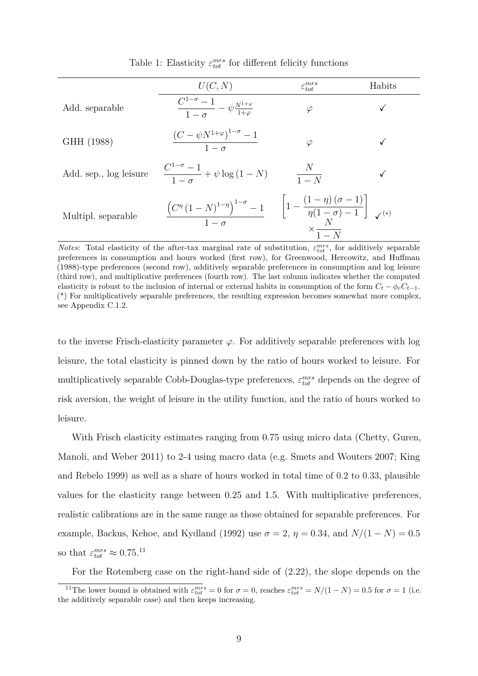<span id="page-10-0"></span>

|                        | U(C, N)                                                                                                                                                                                  | $\varepsilon_{tot}^{mrs}$ | Habits |
|------------------------|------------------------------------------------------------------------------------------------------------------------------------------------------------------------------------------|---------------------------|--------|
| Add. separable         | $\frac{C^{1-\sigma}-1}{1-\tau}-\psi \frac{N^{1+\varphi}}{1+\varphi}$                                                                                                                     | $\varphi$                 |        |
| GHH (1988)             | $\frac{\left(C-\psi N^{1+\varphi}\right)^{1-\sigma}-1}{1-\sigma}$                                                                                                                        | $\varphi$                 |        |
| Add. sep., log leisure | $\frac{C^{1-\sigma}-1}{1-\sigma} + \psi \log(1-N)$                                                                                                                                       | $\frac{N}{1-N}$           |        |
| Multipl. separable     | $\frac{\left(C^{\eta}\left(1-N\right)^{1-\eta}\right)^{1-\sigma}-1}{1-\sigma}\qquad\left[1-\frac{\left(1-\eta\right)\left(\sigma-1\right)}{\eta(1-\sigma)-1}\right]_{\mathcal{N}^{(*)}}$ | $\times \frac{1}{1-N}$    |        |

Table 1: Elasticity  $\varepsilon_{tot}^{mrs}$  for different felicity functions

to the inverse Frisch-elasticity parameter  $\varphi$ . For additively separable preferences with log leisure, the total elasticity is pinned down by the ratio of hours worked to leisure. For multiplicatively separable Cobb-Douglas-type preferences,  $\varepsilon_{tot}^{mrs}$  depends on the degree of risk aversion, the weight of leisure in the utility function, and the ratio of hours worked to leisure.

With Frisch elasticity estimates ranging from 0.75 using micro data (Chetty, Guren, Manoli, and Weber [2011\)](#page-16-14) to 2-4 using macro data (e.g. Smets and Wouters [2007;](#page-18-6) King and Rebelo [1999\)](#page-17-14) as well as a share of hours worked in total time of 0.2 to 0.33, plausible values for the elasticity range between 0.25 and 1.5. With multiplicative preferences, realistic calibrations are in the same range as those obtained for separable preferences. For example, Backus, Kehoe, and Kydland [\(1992\)](#page-16-15) use  $\sigma = 2$ ,  $\eta = 0.34$ , and  $N/(1 - N) = 0.5$ so that  $\varepsilon_{tot}^{mrs} \approx 0.75$ <sup>[11](#page-10-1)</sup>

For the Rotemberg case on the right-hand side of [\(2.22\)](#page-9-1), the slope depends on the

*Notes*: Total elasticity of the after-tax marginal rate of substitution,  $\varepsilon_{tot}^{mrs}$ , for additively separable preferences in consumption and hours worked (first row), for Greenwood, Hercowitz, and Huffman [\(1988\)](#page-17-13)-type preferences (second row), additively separable preferences in consumption and log leisure (third row), and multiplicative preferences (fourth row). The last column indicates whether the computed elasticity is robust to the inclusion of internal or external habits in consumption of the form  $C_t - \phi_c C_{t-1}$ . (\*) For multiplicatively separable preferences, the resulting expression becomes somewhat more complex, see Appendix [C.1.2.](#page-30-0)

<span id="page-10-1"></span><sup>&</sup>lt;sup>11</sup>The lower bound is obtained with  $\varepsilon_{tot}^{mrs} = 0$  for  $\sigma = 0$ , reaches  $\varepsilon_{tot}^{mrs} = N/(1 - N) = 0.5$  for  $\sigma = 1$  (i.e. the additively separable case) and then keeps increasing.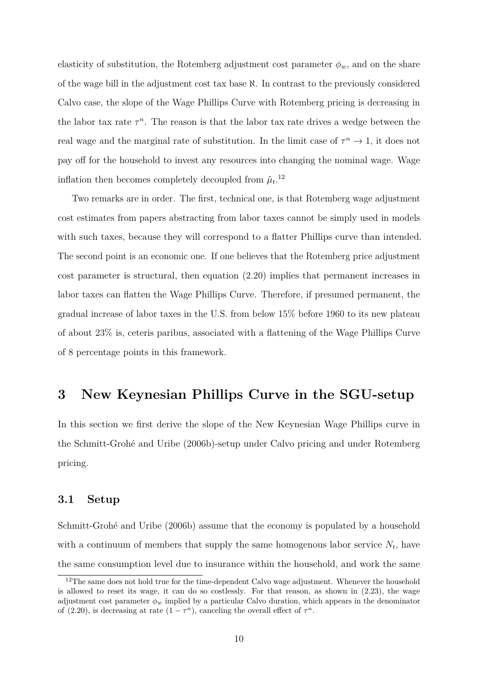elasticity of substitution, the Rotemberg adjustment cost parameter  $\phi_w$ , and on the share of the wage bill in the adjustment cost tax base  $\aleph$ . In contrast to the previously considered Calvo case, the slope of the Wage Phillips Curve with Rotemberg pricing is decreasing in the labor tax rate  $\tau^n$ . The reason is that the labor tax rate drives a wedge between the real wage and the marginal rate of substitution. In the limit case of  $\tau^n \to 1$ , it does not pay off for the household to invest any resources into changing the nominal wage. Wage inflation then becomes completely decoupled from  $\hat{\mu}_t$ <sup>[12](#page-11-1)</sup>

Two remarks are in order. The first, technical one, is that Rotemberg wage adjustment cost estimates from papers abstracting from labor taxes cannot be simply used in models with such taxes, because they will correspond to a flatter Phillips curve than intended. The second point is an economic one. If one believes that the Rotemberg price adjustment cost parameter is structural, then equation [\(2.20\)](#page-8-2) implies that permanent increases in labor taxes can flatten the Wage Phillips Curve. Therefore, if presumed permanent, the gradual increase of labor taxes in the U.S. from below 15% before 1960 to its new plateau of about 23% is, ceteris paribus, associated with a flattening of the Wage Phillips Curve of 8 percentage points in this framework.

### <span id="page-11-0"></span>**3 New Keynesian Phillips Curve in the SGU-setup**

In this section we first derive the slope of the New Keynesian Wage Phillips curve in the Schmitt-Grohé and Uribe [\(2006b\)](#page-18-2)-setup under Calvo pricing and under Rotemberg pricing.

#### **3.1 Setup**

Schmitt-Grohé and Uribe [\(2006b\)](#page-18-2) assume that the economy is populated by a household with a continuum of members that supply the same homogenous labor service  $N_t$ , have the same consumption level due to insurance within the household, and work the same

<span id="page-11-1"></span><sup>&</sup>lt;sup>12</sup>The same does not hold true for the time-dependent Calvo wage adjustment. Whenever the household is allowed to reset its wage, it can do so costlessly. For that reason, as shown in [\(2.23\)](#page-9-2), the wage adjustment cost parameter  $\phi_w$  implied by a particular Calvo duration, which appears in the denominator of [\(2.20\)](#page-8-2), is decreasing at rate  $(1 - \tau^n)$ , canceling the overall effect of  $\tau^n$ .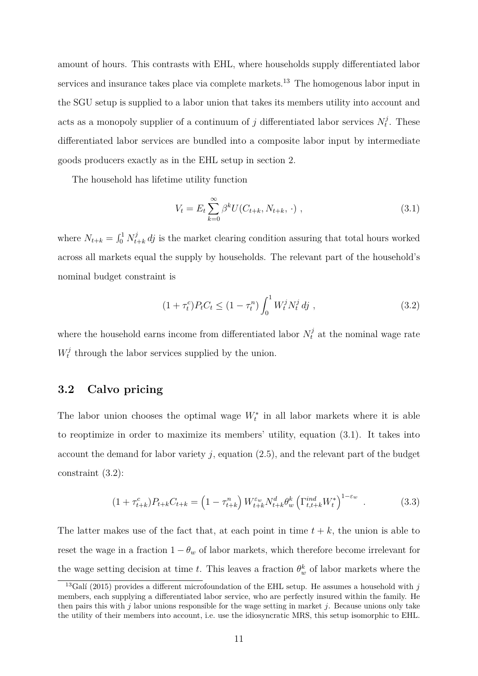amount of hours. This contrasts with EHL, where households supply differentiated labor services and insurance takes place via complete markets.<sup>[13](#page-12-0)</sup> The homogenous labor input in the SGU setup is supplied to a labor union that takes its members utility into account and acts as a monopoly supplier of a continuum of *j* differentiated labor services  $N_t^j$  $t<sup>j</sup>$ . These differentiated labor services are bundled into a composite labor input by intermediate goods producers exactly as in the EHL setup in section [2.](#page-4-0)

The household has lifetime utility function

<span id="page-12-1"></span>
$$
V_t = E_t \sum_{k=0}^{\infty} \beta^k U(C_{t+k}, N_{t+k}, \cdot) , \qquad (3.1)
$$

where  $N_{t+k} = \int_0^1 N_{t+k}^j dy$  is the market clearing condition assuring that total hours worked across all markets equal the supply by households. The relevant part of the household's nominal budget constraint is

<span id="page-12-2"></span>
$$
(1 + \tau_t^c)P_t C_t \le (1 - \tau_t^n) \int_0^1 W_t^j N_t^j \, dj \tag{3.2}
$$

where the household earns income from differentiated labor  $N_t^j$  at the nominal wage rate  $W_t^j$  $t_t^j$  through the labor services supplied by the union.

### **3.2 Calvo pricing**

The labor union chooses the optimal wage  $W_t^*$  in all labor markets where it is able to reoptimize in order to maximize its members' utility, equation [\(3.1\)](#page-12-1). It takes into account the demand for labor variety *j*, equation [\(2.5\)](#page-5-1), and the relevant part of the budget constraint [\(3.2\)](#page-12-2):

$$
(1 + \tau_{t+k}^c) P_{t+k} C_{t+k} = \left( 1 - \tau_{t+k}^n \right) W_{t+k}^{\varepsilon_w} N_{t+k}^d \theta_w^k \left( \Gamma_{t,t+k}^{ind} W_t^* \right)^{1 - \varepsilon_w} \tag{3.3}
$$

The latter makes use of the fact that, at each point in time  $t + k$ , the union is able to reset the wage in a fraction  $1 - \theta_w$  of labor markets, which therefore become irrelevant for the wage setting decision at time *t*. This leaves a fraction  $\theta_w^k$  of labor markets where the

<span id="page-12-0"></span> $\frac{13}{6}$ Galí [\(2015\)](#page-17-15) provides a different microfoundation of the EHL setup. He assumes a household with *j* members, each supplying a differentiated labor service, who are perfectly insured within the family. He then pairs this with *j* labor unions responsible for the wage setting in market *j*. Because unions only take the utility of their members into account, i.e. use the idiosyncratic MRS, this setup isomorphic to EHL.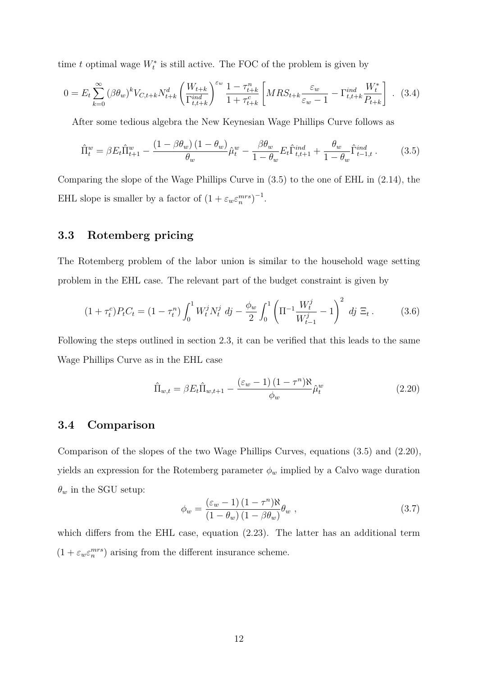time *t* optimal wage  $W_t^*$  is still active. The FOC of the problem is given by

<span id="page-13-1"></span>
$$
0 = E_t \sum_{k=0}^{\infty} (\beta \theta_w)^k V_{C,t+k} N_{t+k}^d \left( \frac{W_{t+k}}{\Gamma_{t,t+k}^{ind}} \right)^{\varepsilon_w} \frac{1 - \tau_{t+k}^n}{1 + \tau_{t+k}^c} \left[ MRS_{t+k} \frac{\varepsilon_w}{\varepsilon_w - 1} - \Gamma_{t,t+k}^{ind} \frac{W_t^*}{P_{t+k}} \right] \tag{3.4}
$$

After some tedious algebra the New Keynesian Wage Phillips Curve follows as

<span id="page-13-0"></span>
$$
\hat{\Pi}_t^w = \beta E_t \hat{\Pi}_{t+1}^w - \frac{\left(1 - \beta \theta_w\right)\left(1 - \theta_w\right)}{\theta_w} \hat{\mu}_t^w - \frac{\beta \theta_w}{1 - \theta_w} E_t \hat{\Gamma}_{t,t+1}^{ind} + \frac{\theta_w}{1 - \theta_w} \hat{\Gamma}_{t-1,t}^{ind} \,. \tag{3.5}
$$

Comparing the slope of the Wage Phillips Curve in [\(3.5\)](#page-13-0) to the one of EHL in [\(2.14\)](#page-7-0), the EHL slope is smaller by a factor of  $(1 + \varepsilon_w \varepsilon_n^{mrs})^{-1}$ .

### **3.3 Rotemberg pricing**

The Rotemberg problem of the labor union is similar to the household wage setting problem in the EHL case. The relevant part of the budget constraint is given by

$$
(1 + \tau_t^c) P_t C_t = (1 - \tau_t^n) \int_0^1 W_t^j N_t^j \, dj - \frac{\phi_w}{2} \int_0^1 \left( \Pi^{-1} \frac{W_t^j}{W_{t-1}^j} - 1 \right)^2 \, dj \, \Xi_t \,. \tag{3.6}
$$

Following the steps outlined in section [2.3,](#page-7-2) it can be verified that this leads to the same Wage Phillips Curve as in the EHL case

$$
\hat{\Pi}_{w,t} = \beta E_t \hat{\Pi}_{w,t+1} - \frac{(\varepsilon_w - 1)(1 - \tau^n)\aleph}{\phi_w} \hat{\mu}_t^w
$$
\n(2.20)

#### **3.4 Comparison**

Comparison of the slopes of the two Wage Phillips Curves, equations [\(3.5\)](#page-13-0) and [\(2.20\)](#page-8-2), yields an expression for the Rotemberg parameter  $\phi_w$  implied by a Calvo wage duration  $\theta_w$  in the SGU setup:

$$
\phi_w = \frac{(\varepsilon_w - 1) (1 - \tau^n) \aleph}{(1 - \theta_w) (1 - \beta \theta_w)} \theta_w ,
$$
\n(3.7)

which differs from the EHL case, equation  $(2.23)$ . The latter has an additional term  $(1 + \varepsilon_w \varepsilon_n^{mrs})$  arising from the different insurance scheme.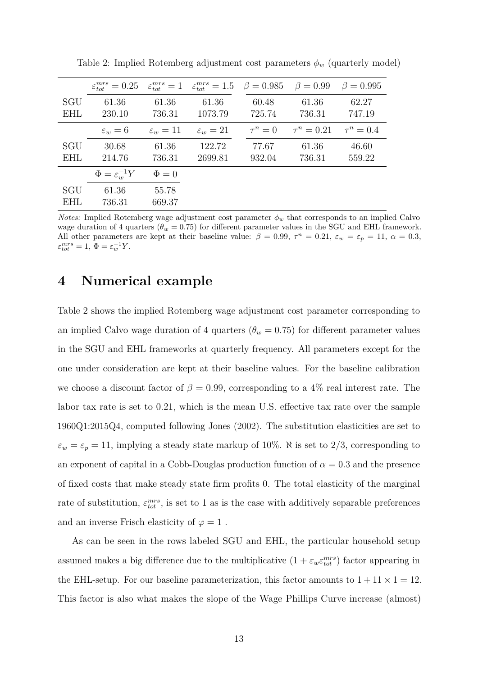|                   | $\varepsilon_{tot}^{mrs} = 0.25$ | $\varepsilon_{tot}^{mrs}=1$ | $\varepsilon_{tot}^{mrs} = 1.5 \quad \beta = 0.985$ |                 | $\beta = 0.99$  | $\beta = 0.995$ |
|-------------------|----------------------------------|-----------------------------|-----------------------------------------------------|-----------------|-----------------|-----------------|
| SGU<br><b>EHL</b> | 61.36<br>230.10                  | 61.36<br>736.31             | 61.36<br>1073.79                                    | 60.48<br>725.74 | 61.36<br>736.31 | 62.27<br>747.19 |
|                   | $\varepsilon_w = 6$              | $\varepsilon_w=11$          | $\varepsilon_w=21$                                  | $\tau^n=0$      | $\tau^n = 0.21$ | $\tau^n = 0.4$  |
| SGU<br><b>EHL</b> | 30.68<br>214.76                  | 61.36<br>736.31             | 122.72<br>2699.81                                   | 77.67<br>932.04 | 61.36<br>736.31 | 46.60<br>559.22 |
|                   | $\Phi = \varepsilon_w^{-1} Y$    | $\Phi = 0$                  |                                                     |                 |                 |                 |
| SGU<br><b>EHL</b> | 61.36<br>736.31                  | 55.78<br>669.37             |                                                     |                 |                 |                 |

<span id="page-14-1"></span>Table 2: Implied Rotemberg adjustment cost parameters  $\phi_w$  (quarterly model)

*Notes:* Implied Rotemberg wage adjustment cost parameter  $\phi_w$  that corresponds to an implied Calvo wage duration of 4 quarters ( $\theta_w = 0.75$ ) for different parameter values in the SGU and EHL framework. All other parameters are kept at their baseline value:  $\beta = 0.99$ ,  $\tau^n = 0.21$ ,  $\varepsilon_w = \varepsilon_p = 11$ ,  $\alpha = 0.3$ ,  $\varepsilon_{tot}^{mrs} = 1, \ \Phi = \varepsilon_w^{-1} Y.$ 

### <span id="page-14-0"></span>**4 Numerical example**

Table [2](#page-14-1) shows the implied Rotemberg wage adjustment cost parameter corresponding to an implied Calvo wage duration of 4 quarters ( $\theta_w = 0.75$ ) for different parameter values in the SGU and EHL frameworks at quarterly frequency. All parameters except for the one under consideration are kept at their baseline values. For the baseline calibration we choose a discount factor of  $\beta = 0.99$ , corresponding to a 4% real interest rate. The labor tax rate is set to 0*.*21, which is the mean U.S. effective tax rate over the sample 1960Q1:2015Q4, computed following Jones [\(2002\)](#page-17-16). The substitution elasticities are set to  $\varepsilon_w = \varepsilon_p = 11$ , implying a steady state markup of 10%.  $\aleph$  is set to 2/3, corresponding to an exponent of capital in a Cobb-Douglas production function of  $\alpha = 0.3$  and the presence of fixed costs that make steady state firm profits 0. The total elasticity of the marginal rate of substitution,  $\varepsilon_{tot}^{mrs}$ , is set to 1 as is the case with additively separable preferences and an inverse Frisch elasticity of  $\varphi = 1$ .

As can be seen in the rows labeled SGU and EHL, the particular household setup assumed makes a big difference due to the multiplicative  $(1 + \varepsilon_w \varepsilon_{tot}^{mrs})$  factor appearing in the EHL-setup. For our baseline parameterization, this factor amounts to  $1 + 11 \times 1 = 12$ . This factor is also what makes the slope of the Wage Phillips Curve increase (almost)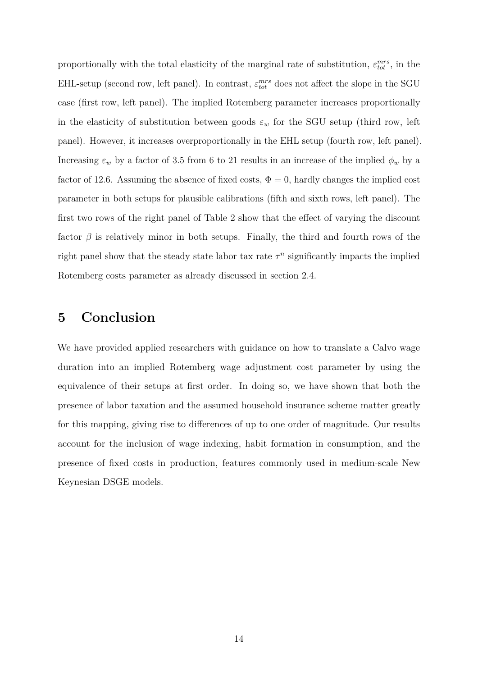proportionally with the total elasticity of the marginal rate of substitution,  $\varepsilon_{tot}^{mrs}$ , in the EHL-setup (second row, left panel). In contrast,  $\varepsilon_{tot}^{mrs}$  does not affect the slope in the SGU case (first row, left panel). The implied Rotemberg parameter increases proportionally in the elasticity of substitution between goods  $\varepsilon_w$  for the SGU setup (third row, left panel). However, it increases overproportionally in the EHL setup (fourth row, left panel). Increasing  $\varepsilon_w$  by a factor of 3.5 from 6 to 21 results in an increase of the implied  $\phi_w$  by a factor of 12.6. Assuming the absence of fixed costs,  $\Phi = 0$ , hardly changes the implied cost parameter in both setups for plausible calibrations (fifth and sixth rows, left panel). The first two rows of the right panel of Table [2](#page-14-1) show that the effect of varying the discount factor  $\beta$  is relatively minor in both setups. Finally, the third and fourth rows of the right panel show that the steady state labor tax rate  $\tau^n$  significantly impacts the implied Rotemberg costs parameter as already discussed in section [2.4.](#page-9-3)

### <span id="page-15-0"></span>**5 Conclusion**

We have provided applied researchers with guidance on how to translate a Calvo wage duration into an implied Rotemberg wage adjustment cost parameter by using the equivalence of their setups at first order. In doing so, we have shown that both the presence of labor taxation and the assumed household insurance scheme matter greatly for this mapping, giving rise to differences of up to one order of magnitude. Our results account for the inclusion of wage indexing, habit formation in consumption, and the presence of fixed costs in production, features commonly used in medium-scale New Keynesian DSGE models.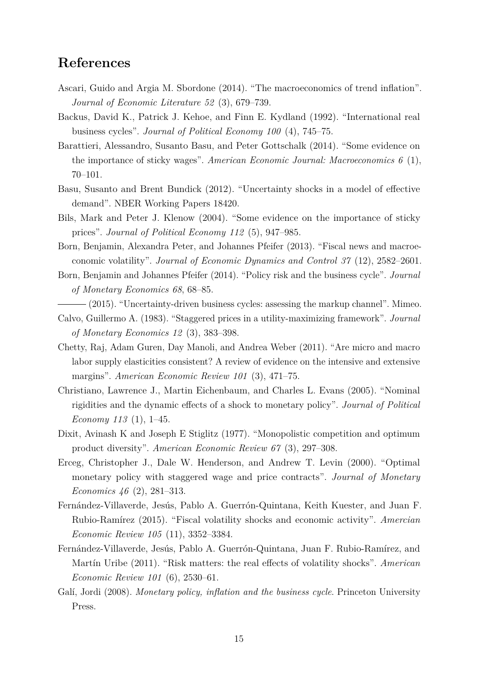### **References**

- <span id="page-16-6"></span>Ascari, Guido and Argia M. Sbordone (2014). "The macroeconomics of trend inflation". *Journal of Economic Literature 52* (3), 679–739.
- <span id="page-16-15"></span>Backus, David K., Patrick J. Kehoe, and Finn E. Kydland (1992). "International real business cycles". *Journal of Political Economy 100* (4), 745–75.
- <span id="page-16-7"></span>Barattieri, Alessandro, Susanto Basu, and Peter Gottschalk (2014). "Some evidence on the importance of sticky wages". *American Economic Journal: Macroeconomics 6* (1), 70–101.
- <span id="page-16-5"></span>Basu, Susanto and Brent Bundick (2012). "Uncertainty shocks in a model of effective demand". NBER Working Papers 18420.
- <span id="page-16-4"></span>Bils, Mark and Peter J. Klenow (2004). "Some evidence on the importance of sticky prices". *Journal of Political Economy 112* (5), 947–985.
- <span id="page-16-10"></span>Born, Benjamin, Alexandra Peter, and Johannes Pfeifer (2013). "Fiscal news and macroeconomic volatility". *Journal of Economic Dynamics and Control 37* (12), 2582–2601.
- <span id="page-16-1"></span>Born, Benjamin and Johannes Pfeifer (2014). "Policy risk and the business cycle". *Journal of Monetary Economics 68*, 68–85.
- <span id="page-16-8"></span>(2015). "Uncertainty-driven business cycles: assessing the markup channel". Mimeo.
- <span id="page-16-3"></span>Calvo, Guillermo A. (1983). "Staggered prices in a utility-maximizing framework". *Journal of Monetary Economics 12* (3), 383–398.
- <span id="page-16-14"></span>Chetty, Raj, Adam Guren, Day Manoli, and Andrea Weber (2011). "Are micro and macro labor supply elasticities consistent? A review of evidence on the intensive and extensive margins". *American Economic Review 101* (3), 471–75.
- <span id="page-16-12"></span>Christiano, Lawrence J., Martin Eichenbaum, and Charles L. Evans (2005). "Nominal rigidities and the dynamic effects of a shock to monetary policy". *Journal of Political Economy 113* (1), 1–45.
- <span id="page-16-11"></span>Dixit, Avinash K and Joseph E Stiglitz (1977). "Monopolistic competition and optimum product diversity". *American Economic Review 67* (3), 297–308.
- <span id="page-16-9"></span>Erceg, Christopher J., Dale W. Henderson, and Andrew T. Levin (2000). "Optimal monetary policy with staggered wage and price contracts". *Journal of Monetary Economics 46* (2), 281–313.
- <span id="page-16-2"></span>Fernández-Villaverde, Jesús, Pablo A. Guerrón-Quintana, Keith Kuester, and Juan F. Rubio-Ramírez (2015). "Fiscal volatility shocks and economic activity". *Amercian Economic Review 105* (11), 3352–3384.
- <span id="page-16-0"></span>Fernández-Villaverde, Jesús, Pablo A. Guerrón-Quintana, Juan F. Rubio-Ramírez, and Martín Uribe (2011). "Risk matters: the real effects of volatility shocks". *American Economic Review 101* (6), 2530–61.
- <span id="page-16-13"></span>Galí, Jordi (2008). *Monetary policy, inflation and the business cycle*. Princeton University Press.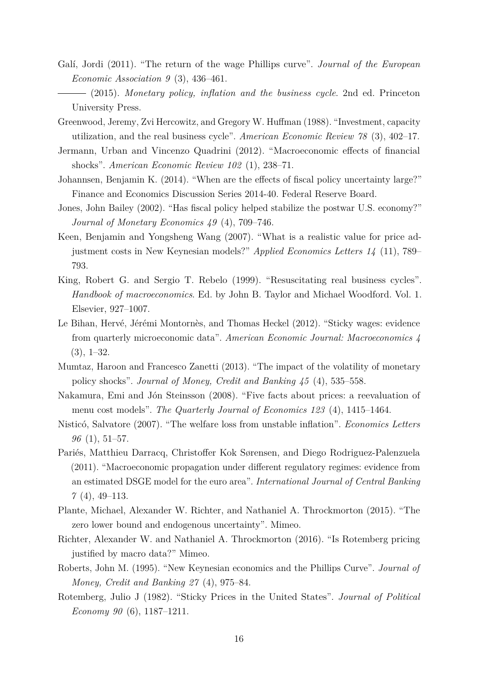- <span id="page-17-15"></span><span id="page-17-11"></span>Galí, Jordi (2011). "The return of the wage Phillips curve". *Journal of the European Economic Association 9* (3), 436–461.
	- (2015). *Monetary policy, inflation and the business cycle*. 2nd ed. Princeton University Press.
- <span id="page-17-13"></span>Greenwood, Jeremy, Zvi Hercowitz, and Gregory W. Huffman (1988). "Investment, capacity utilization, and the real business cycle". *American Economic Review 78* (3), 402–17.
- <span id="page-17-4"></span>Jermann, Urban and Vincenzo Quadrini (2012). "Macroeconomic effects of financial shocks". *American Economic Review 102* (1), 238–71.
- <span id="page-17-0"></span>Johannsen, Benjamin K. (2014). "When are the effects of fiscal policy uncertainty large?" Finance and Economics Discussion Series 2014-40. Federal Reserve Board.
- <span id="page-17-16"></span>Jones, John Bailey (2002). "Has fiscal policy helped stabilize the postwar U.S. economy?" *Journal of Monetary Economics 49* (4), 709–746.
- <span id="page-17-8"></span>Keen, Benjamin and Yongsheng Wang (2007). "What is a realistic value for price adjustment costs in New Keynesian models?" *Applied Economics Letters 14* (11), 789– 793.
- <span id="page-17-14"></span>King, Robert G. and Sergio T. Rebelo (1999). "Resuscitating real business cycles". *Handbook of macroeconomics*. Ed. by John B. Taylor and Michael Woodford. Vol. 1. Elsevier, 927–1007.
- <span id="page-17-10"></span>Le Bihan, Hervé, Jérémi Montornès, and Thomas Heckel (2012). "Sticky wages: evidence from quarterly microeconomic data". *American Economic Journal: Macroeconomics 4*  $(3), 1-32.$
- <span id="page-17-5"></span>Mumtaz, Haroon and Francesco Zanetti (2013). "The impact of the volatility of monetary policy shocks". *Journal of Money, Credit and Banking 45* (4), 535–558.
- <span id="page-17-3"></span>Nakamura, Emi and Jón Steinsson (2008). "Five facts about prices: a reevaluation of menu cost models". *The Quarterly Journal of Economics 123* (4), 1415–1464.
- <span id="page-17-9"></span>Nisticó, Salvatore (2007). "The welfare loss from unstable inflation". *Economics Letters 96* (1), 51–57.
- <span id="page-17-12"></span>Pariés, Matthieu Darracq, Christoffer Kok Sørensen, and Diego Rodriguez-Palenzuela (2011). "Macroeconomic propagation under different regulatory regimes: evidence from an estimated DSGE model for the euro area". *International Journal of Central Banking 7* (4), 49–113.
- <span id="page-17-1"></span>Plante, Michael, Alexander W. Richter, and Nathaniel A. Throckmorton (2015). "The zero lower bound and endogenous uncertainty". Mimeo.
- <span id="page-17-6"></span>Richter, Alexander W. and Nathaniel A. Throckmorton (2016). "Is Rotemberg pricing justified by macro data?" Mimeo.
- <span id="page-17-7"></span>Roberts, John M. (1995). "New Keynesian economics and the Phillips Curve". *Journal of Money, Credit and Banking 27* (4), 975–84.
- <span id="page-17-2"></span>Rotemberg, Julio J (1982). "Sticky Prices in the United States". *Journal of Political Economy 90* (6), 1187–1211.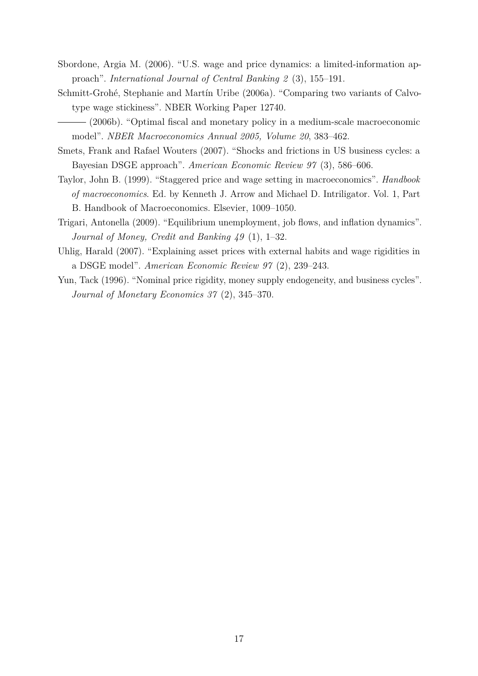- <span id="page-18-5"></span>Sbordone, Argia M. (2006). "U.S. wage and price dynamics: a limited-information approach". *International Journal of Central Banking 2* (3), 155–191.
- <span id="page-18-3"></span>Schmitt-Grohé, Stephanie and Martín Uribe (2006a). "Comparing two variants of Calvotype wage stickiness". NBER Working Paper 12740.

<span id="page-18-2"></span>(2006b). "Optimal fiscal and monetary policy in a medium-scale macroeconomic model". *NBER Macroeconomics Annual 2005, Volume 20*, 383–462.

- <span id="page-18-6"></span>Smets, Frank and Rafael Wouters (2007). "Shocks and frictions in US business cycles: a Bayesian DSGE approach". *American Economic Review 97* (3), 586–606.
- <span id="page-18-1"></span>Taylor, John B. (1999). "Staggered price and wage setting in macroeconomics". *Handbook of macroeconomics*. Ed. by Kenneth J. Arrow and Michael D. Intriligator. Vol. 1, Part B. Handbook of Macroeconomics. Elsevier, 1009–1050.
- <span id="page-18-4"></span>Trigari, Antonella (2009). "Equilibrium unemployment, job flows, and inflation dynamics". *Journal of Money, Credit and Banking 49* (1), 1–32.
- <span id="page-18-7"></span>Uhlig, Harald (2007). "Explaining asset prices with external habits and wage rigidities in a DSGE model". *American Economic Review 97* (2), 239–243.
- <span id="page-18-0"></span>Yun, Tack (1996). "Nominal price rigidity, money supply endogeneity, and business cycles". *Journal of Monetary Economics 37* (2), 345–370.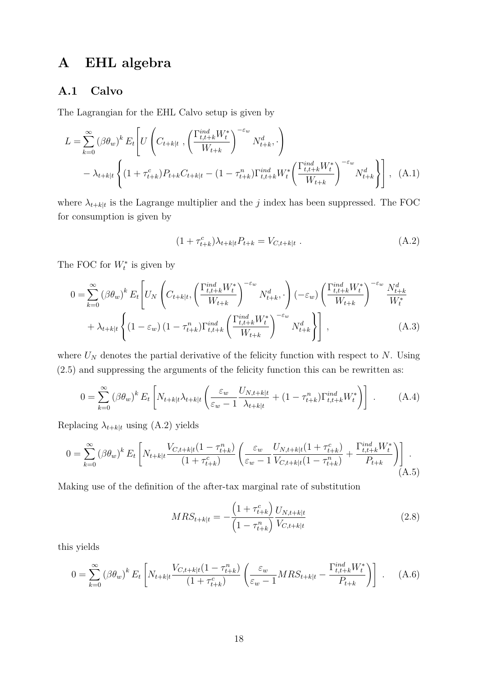# **A EHL algebra**

### **A.1 Calvo**

The Lagrangian for the EHL Calvo setup is given by

$$
L = \sum_{k=0}^{\infty} (\beta \theta_w)^k E_t \left[ U \left( C_{t+k|t} , \left( \frac{\Gamma_{t,t+k}^{ind} W_t^*}{W_{t+k}} \right)^{-\varepsilon_w} N_{t+k}^d , \cdot \right) - \lambda_{t+k|t} \left\{ (1 + \tau_{t+k}^c) P_{t+k} C_{t+k|t} - (1 - \tau_{t+k}^n) \Gamma_{t,t+k}^{ind} W_t^* \left( \frac{\Gamma_{t,t+k}^{ind} W_t^*}{W_{t+k}} \right)^{-\varepsilon_w} N_{t+k}^d \right\} \right], \quad (A.1)
$$

where  $\lambda_{t+k|t}$  is the Lagrange multiplier and the *j* index has been suppressed. The FOC for consumption is given by

<span id="page-19-0"></span>
$$
(1 + \tau_{t+k}^c) \lambda_{t+k|t} P_{t+k} = V_{C,t+k|t} . \tag{A.2}
$$

The FOC for  $W_t^*$  is given by

$$
0 = \sum_{k=0}^{\infty} (\beta \theta_w)^k E_t \left[ U_N \left( C_{t+k|t}, \left( \frac{\Gamma_{t,t+k}^{ind} W_t^*}{W_{t+k}} \right)^{-\varepsilon_w} N_{t+k}^d, \cdot \right) (-\varepsilon_w) \left( \frac{\Gamma_{t,t+k}^{ind} W_t^*}{W_{t+k}} \right)^{-\varepsilon_w} \frac{N_{t+k}^d}{W_t^*} \right. \right. \\
\left. + \lambda_{t+k|t} \left\{ (1 - \varepsilon_w) \left( 1 - \tau_{t+k}^n \right) \Gamma_{t,t+k}^{ind} \left( \frac{\Gamma_{t,t+k}^{ind} W_t^*}{W_{t+k}} \right)^{-\varepsilon_w} N_{t+k}^d \right\} \right], \tag{A.3}
$$

where  $U_N$  denotes the partial derivative of the felicity function with respect to  $N$ . Using [\(2.5\)](#page-5-1) and suppressing the arguments of the felicity function this can be rewritten as:

$$
0 = \sum_{k=0}^{\infty} (\beta \theta_w)^k E_t \left[ N_{t+k|t} \lambda_{t+k|t} \left( \frac{\varepsilon_w}{\varepsilon_w - 1} \frac{U_{N,t+k|t}}{\lambda_{t+k|t}} + (1 - \tau_{t+k}^n) \Gamma_{t,t+k}^{ind} W_t^* \right) \right] \ . \tag{A.4}
$$

Replacing  $\lambda_{t+k|t}$  using [\(A.2\)](#page-19-0) yields

$$
0 = \sum_{k=0}^{\infty} (\beta \theta_w)^k E_t \left[ N_{t+k|t} \frac{V_{C,t+k|t} (1 - \tau_{t+k}^n)}{(1 + \tau_{t+k}^c)} \left( \frac{\varepsilon_w}{\varepsilon_w - 1} \frac{U_{N,t+k|t} (1 + \tau_{t+k}^c)}{V_{C,t+k|t} (1 - \tau_{t+k}^n)} + \frac{\Gamma_{t,t+k}^{ind} W_t^*}{P_{t+k}} \right) \right].
$$
\n(A.5)

Making use of the definition of the after-tax marginal rate of substitution

$$
MRS_{t+k|t} = -\frac{\left(1 + \tau_{t+k}^c\right)}{\left(1 - \tau_{t+k}^n\right)} \frac{U_{N,t+k|t}}{V_{C,t+k|t}}
$$
(2.8)

this yields

$$
0 = \sum_{k=0}^{\infty} (\beta \theta_w)^k E_t \left[ N_{t+k|t} \frac{V_{C,t+k|t} (1 - \tau_{t+k}^n)}{(1 + \tau_{t+k}^c)} \left( \frac{\varepsilon_w}{\varepsilon_w - 1} MRS_{t+k|t} - \frac{\Gamma_{t,t+k}^{ind} W_t^*}{P_{t+k}} \right) \right] . \tag{A.6}
$$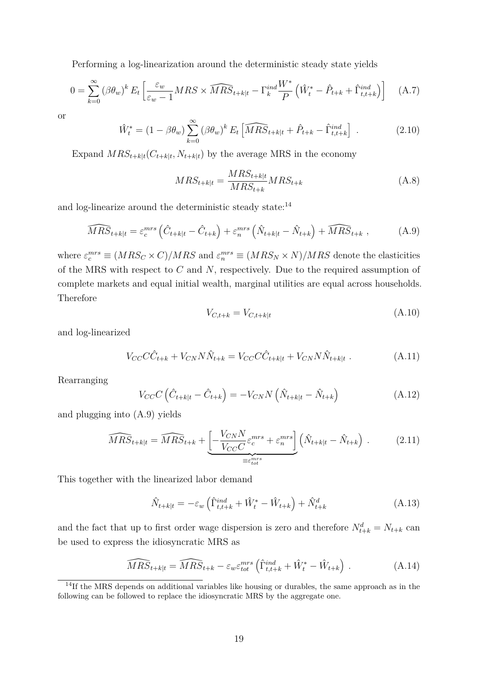Performing a log-linearization around the deterministic steady state yields

$$
0 = \sum_{k=0}^{\infty} (\beta \theta_w)^k E_t \left[ \frac{\varepsilon_w}{\varepsilon_w - 1} MRS \times \widehat{MRS}_{t+k|t} - \Gamma_k^{ind} \frac{W^*}{P} \left( \hat{W}_t^* - \hat{P}_{t+k} + \hat{\Gamma}_{t,t+k}^{ind} \right) \right]
$$
(A.7)

or

$$
\hat{W}_t^* = (1 - \beta \theta_w) \sum_{k=0}^{\infty} (\beta \theta_w)^k E_t \left[ \widehat{MRS}_{t+k|t} + \hat{P}_{t+k} - \hat{\Gamma}_{t,t+k}^{ind} \right] \,. \tag{2.10}
$$

Expand  $MRS_{t+k|t}(C_{t+k|t}, N_{t+k|t})$  by the average MRS in the economy

$$
MRS_{t+k|t} = \frac{MRS_{t+k|t}}{MRS_{t+k}} MRS_{t+k}
$$
\n(A.8)

and log-linearize around the deterministic steady state:<sup>[14](#page-20-0)</sup>

<span id="page-20-1"></span>
$$
\widehat{MRS}_{t+k|t} = \varepsilon_c^{mrs} \left( \hat{C}_{t+k|t} - \hat{C}_{t+k} \right) + \varepsilon_n^{mrs} \left( \hat{N}_{t+k|t} - \hat{N}_{t+k} \right) + \widehat{MRS}_{t+k} , \qquad (A.9)
$$

where  $\varepsilon_c^{mrs} \equiv (MRS_C \times C)/MRS$  and  $\varepsilon_m^{mrs} \equiv (MRS_N \times N)/MRS$  denote the elasticities of the MRS with respect to *C* and *N*, respectively. Due to the required assumption of complete markets and equal initial wealth, marginal utilities are equal across households. Therefore

$$
V_{C,t+k} = V_{C,t+k|t} \tag{A.10}
$$

and log-linearized

$$
V_{CC}\hat{C}_{t+k} + V_{CN}N\hat{N}_{t+k} = V_{CC}\hat{C}_{t+k|t} + V_{CN}N\hat{N}_{t+k|t}.
$$
 (A.11)

Rearranging

$$
V_{CC}C\left(\hat{C}_{t+k|t} - \hat{C}_{t+k}\right) = -V_{CN}N\left(\hat{N}_{t+k|t} - \hat{N}_{t+k}\right)
$$
\n(A.12)

and plugging into [\(A.9\)](#page-20-1) yields

$$
\widehat{MRS}_{t+k|t} = \widehat{MRS}_{t+k} + \underbrace{\left[-\frac{V_{CN}N}{V_{CC}C}\varepsilon_c^{mrs} + \varepsilon_n^{mrs}\right]}_{\equiv \varepsilon_{tot}^{mrs}} \left(\hat{N}_{t+k|t} - \hat{N}_{t+k}\right) \,. \tag{2.11}
$$

This together with the linearized labor demand

$$
\hat{N}_{t+k|t} = -\varepsilon_w \left( \hat{\Gamma}_{t,t+k}^{ind} + \hat{W}_t^* - \hat{W}_{t+k} \right) + \hat{N}_{t+k}^d \tag{A.13}
$$

and the fact that up to first order wage dispersion is zero and therefore  $N_{t+k}^d = N_{t+k}$  can be used to express the idiosyncratic MRS as

$$
\widehat{MRS}_{t+k|t} = \widehat{MRS}_{t+k} - \varepsilon_w \varepsilon_{tot}^{mrs} \left( \widehat{\Gamma}_{t,t+k}^{ind} + \widehat{W}_t^* - \widehat{W}_{t+k} \right) . \tag{A.14}
$$

<span id="page-20-0"></span><sup>&</sup>lt;sup>14</sup>If the MRS depends on additional variables like housing or durables, the same approach as in the following can be followed to replace the idiosyncratic MRS by the aggregate one.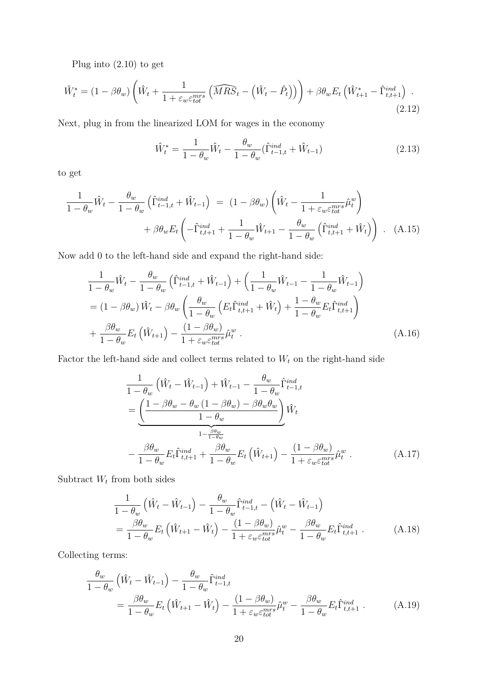Plug into [\(2.10\)](#page-6-5) to get

$$
\hat{W}_t^* = (1 - \beta \theta_w) \left( \hat{W}_t + \frac{1}{1 + \varepsilon_w \varepsilon_{tot}^{mrs}} \left( \widehat{MRS}_t - \left( \hat{W}_t - \hat{P}_t \right) \right) \right) + \beta \theta_w E_t \left( \hat{W}_{t+1}^* - \hat{\Gamma}_{t,t+1}^{ind} \right) \tag{2.12}
$$

Next, plug in from the linearized LOM for wages in the economy

$$
\hat{W}_t^* = \frac{1}{1 - \theta_w} \hat{W}_t - \frac{\theta_w}{1 - \theta_w} (\hat{\Gamma}_{t-1,t}^{ind} + \hat{W}_{t-1})
$$
\n(2.13)

to get

$$
\frac{1}{1-\theta_w}\hat{W}_t - \frac{\theta_w}{1-\theta_w}\left(\hat{\Gamma}_{t-1,t}^{ind} + \hat{W}_{t-1}\right) = (1-\beta\theta_w)\left(\hat{W}_t - \frac{1}{1+\varepsilon_w\varepsilon_{tot}^{mrs}}\hat{\mu}_t^w\right) \n+ \beta\theta_w E_t\left(-\hat{\Gamma}_{t,t+1}^{ind} + \frac{1}{1-\theta_w}\hat{W}_{t+1} - \frac{\theta_w}{1-\theta_w}\left(\hat{\Gamma}_{t,t+1}^{ind} + \hat{W}_t\right)\right). (A.15)
$$

Now add 0 to the left-hand side and expand the right-hand side:

$$
\frac{1}{1-\theta_w}\hat{W}_t - \frac{\theta_w}{1-\theta_w}\left(\hat{\Gamma}_{t-1,t}^{ind} + \hat{W}_{t-1}\right) + \left(\frac{1}{1-\theta_w}\hat{W}_{t-1} - \frac{1}{1-\theta_w}\hat{W}_{t-1}\right)
$$
\n
$$
= (1-\beta\theta_w)\hat{W}_t - \beta\theta_w\left(\frac{\theta_w}{1-\theta_w}\left(E_t\hat{\Gamma}_{t,t+1}^{ind} + \hat{W}_t\right) + \frac{1-\theta_w}{1-\theta_w}E_t\hat{\Gamma}_{t,t+1}^{ind}\right)
$$
\n
$$
+ \frac{\beta\theta_w}{1-\theta_w}E_t\left(\hat{W}_{t+1}\right) - \frac{(1-\beta\theta_w)}{1+\varepsilon_w\varepsilon_{tot}^{mrs}}\hat{\mu}_t^w \tag{A.16}
$$

Factor the left-hand side and collect terms related to  $W_t$  on the right-hand side

$$
\frac{1}{1 - \theta_w} \left( \hat{W}_t - \hat{W}_{t-1} \right) + \hat{W}_{t-1} - \frac{\theta_w}{1 - \theta_w} \hat{\Gamma}_{t-1,t}^{ind}
$$
\n
$$
= \underbrace{\left( \frac{1 - \beta \theta_w - \theta_w \left( 1 - \beta \theta_w \right) - \beta \theta_w \theta_w}{1 - \theta_w} \right)}_{1 - \frac{\beta \theta_w}{1 - \theta_w}} \hat{W}_t
$$
\n
$$
- \frac{\beta \theta_w}{1 - \theta_w} E_t \hat{\Gamma}_{t,t+1}^{ind} + \frac{\beta \theta_w}{1 - \theta_w} E_t \left( \hat{W}_{t+1} \right) - \frac{\left( 1 - \beta \theta_w \right)}{1 + \varepsilon_w \varepsilon_{tot}^{mrs}} \hat{\mu}_t^w \,. \tag{A.17}
$$

Subtract  $W_t$  from both sides

$$
\frac{1}{1-\theta_w} \left( \hat{W}_t - \hat{W}_{t-1} \right) - \frac{\theta_w}{1-\theta_w} \hat{\Gamma}_{t-1,t}^{ind} - \left( \hat{W}_t - \hat{W}_{t-1} \right)
$$
\n
$$
= \frac{\beta \theta_w}{1-\theta_w} E_t \left( \hat{W}_{t+1} - \hat{W}_t \right) - \frac{(1-\beta \theta_w)}{1+\varepsilon_w \varepsilon_{tot}^{mrs}} \hat{\mu}_t^w - \frac{\beta \theta_w}{1-\theta_w} E_t \hat{\Gamma}_{t,t+1}^{ind} \,. \tag{A.18}
$$

Collecting terms:

$$
\frac{\theta_w}{1 - \theta_w} \left( \hat{W}_t - \hat{W}_{t-1} \right) - \frac{\theta_w}{1 - \theta_w} \hat{\Gamma}_{t-1,t}^{ind}
$$
\n
$$
= \frac{\beta \theta_w}{1 - \theta_w} E_t \left( \hat{W}_{t+1} - \hat{W}_t \right) - \frac{(1 - \beta \theta_w)}{1 + \varepsilon_w \varepsilon_{tot}^{mrs}} \hat{\mu}_t^w - \frac{\beta \theta_w}{1 - \theta_w} E_t \hat{\Gamma}_{t,t+1}^{ind} \tag{A.19}
$$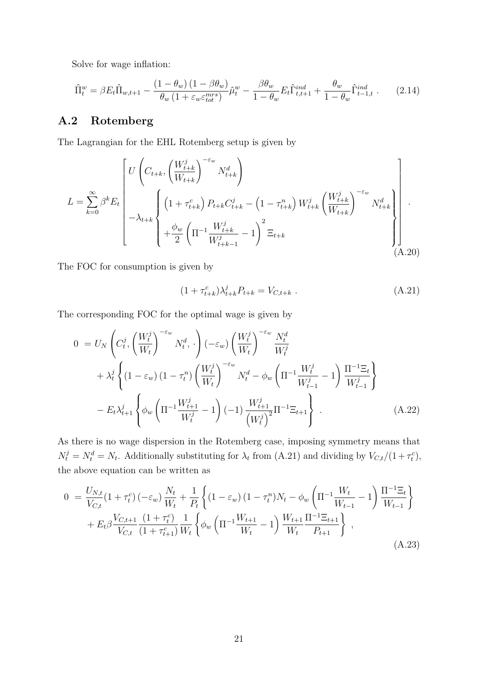Solve for wage inflation:

$$
\hat{\Pi}_t^w = \beta E_t \hat{\Pi}_{w,t+1} - \frac{(1 - \theta_w)(1 - \beta \theta_w)}{\theta_w (1 + \varepsilon_w \varepsilon_{tot}^{mrs})} \hat{\mu}_t^w - \frac{\beta \theta_w}{1 - \theta_w} E_t \hat{\Gamma}_{t,t+1}^{ind} + \frac{\theta_w}{1 - \theta_w} \hat{\Gamma}_{t-1,t}^{ind} \tag{2.14}
$$

### **A.2 Rotemberg**

The Lagrangian for the EHL Rotemberg setup is given by

$$
L = \sum_{k=0}^{\infty} \beta^k E_t \left[ U \left( C_{t+k}, \left( \frac{W_{t+k}^j}{W_{t+k}} \right)^{-\varepsilon_w} N_{t+k}^d \right) -\lambda_{t+k} \left\{ \left( 1 + \tau_{t+k}^c \right) P_{t+k} C_{t+k}^j - \left( 1 - \tau_{t+k}^n \right) W_{t+k}^j \left( \frac{W_{t+k}^j}{W_{t+k}} \right)^{-\varepsilon_w} N_{t+k}^d \right\} \right] \cdot \left. + \frac{\phi_w}{2} \left( \Pi^{-1} \frac{W_{t+k}^j}{W_{t+k-1}^j} - 1 \right)^2 \Xi_{t+k} \right] \tag{A.20}
$$

The FOC for consumption is given by

<span id="page-22-0"></span>
$$
(1 + \tau_{t+k}^c) \lambda_{t+k}^j P_{t+k} = V_{C,t+k} . \tag{A.21}
$$

The corresponding FOC for the optimal wage is given by

$$
0 = U_N \left( C_t^j, \left( \frac{W_t^j}{W_t} \right)^{-\epsilon_w} N_t^d, \cdot \right) (-\epsilon_w) \left( \frac{W_t^j}{W_t} \right)^{-\epsilon_w} \frac{N_t^d}{W_t^j} + \lambda_t^j \left\{ (1 - \epsilon_w) \left( 1 - \tau_t^n \right) \left( \frac{W_t^j}{W_t} \right)^{-\epsilon_w} N_t^d - \phi_w \left( \Pi^{-1} \frac{W_t^j}{W_{t-1}^j} - 1 \right) \frac{\Pi^{-1} \Xi_t}{W_{t-1}^j} \right\} - E_t \lambda_{t+1}^j \left\{ \phi_w \left( \Pi^{-1} \frac{W_{t+1}^j}{W_t^j} - 1 \right) (-1) \frac{W_{t+1}^j}{\left( W_t^j \right)^2} \Pi^{-1} \Xi_{t+1} \right\} .
$$
\n(A.22)

As there is no wage dispersion in the Rotemberg case, imposing symmetry means that  $N_t^j = N_t^d = N_t$ . Additionally substituting for  $\lambda_t$  from [\(A.21\)](#page-22-0) and dividing by  $V_{C,t}/(1+\tau_t^c)$ , the above equation can be written as

<span id="page-22-1"></span>
$$
0 = \frac{U_{N,t}}{V_{C,t}} \left(1 + \tau_t^c\right) \left(-\varepsilon_w\right) \frac{N_t}{W_t} + \frac{1}{P_t} \left\{ \left(1 - \varepsilon_w\right) \left(1 - \tau_t^n\right) N_t - \phi_w \left(\Pi^{-1} \frac{W_t}{W_{t-1}} - 1\right) \frac{\Pi^{-1} \Xi_t}{W_{t-1}} \right\} + E_t \beta \frac{V_{C,t+1}}{V_{C,t}} \frac{\left(1 + \tau_t^c\right)}{\left(1 + \tau_{t+1}^c\right)} \frac{1}{W_t} \left\{ \phi_w \left(\Pi^{-1} \frac{W_{t+1}}{W_t} - 1\right) \frac{W_{t+1}}{W_t} \frac{\Pi^{-1} \Xi_{t+1}}{P_{t+1}} \right\} ,
$$
\n(A.23)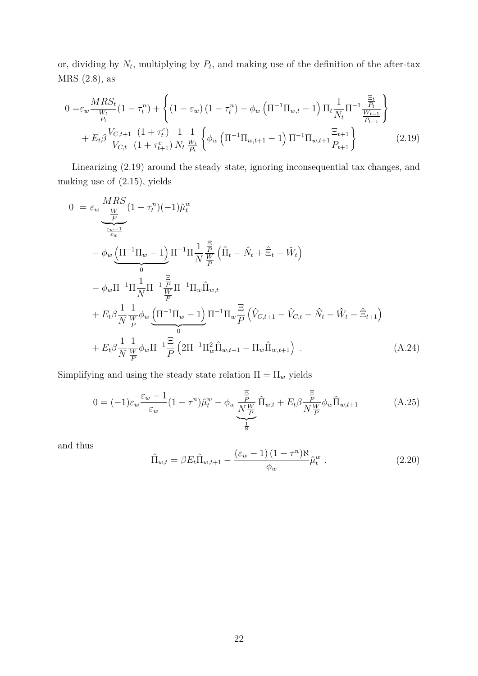or, dividing by  $N_t$ , multiplying by  $P_t$ , and making use of the definition of the after-tax MRS [\(2.8\)](#page-6-2), as

$$
0 = \varepsilon_w \frac{MRS_t}{\frac{W_t}{P_t}} (1 - \tau_t^n) + \left\{ (1 - \varepsilon_w) (1 - \tau_t^n) - \phi_w \left( \Pi^{-1} \Pi_{w,t} - 1 \right) \Pi_t \frac{1}{N_t} \Pi^{-1} \frac{\frac{\Xi_t}{P_t}}{\frac{W_{t-1}}{P_{t-1}}} \right\} + E_t \beta \frac{V_{C,t+1}}{V_{C,t}} \frac{(1 + \tau_t^c)}{(1 + \tau_{t+1}^c)} \frac{1}{N_t} \frac{1}{\frac{W_t}{P_t}} \left\{ \phi_w \left( \Pi^{-1} \Pi_{w,t+1} - 1 \right) \Pi^{-1} \Pi_{w,t+1} \frac{\Xi_{t+1}}{P_{t+1}} \right\} \tag{2.19}
$$

Linearizing [\(2.19\)](#page-8-0) around the steady state, ignoring inconsequential tax changes, and making use of [\(2.15\)](#page-7-1), yields

$$
0 = \varepsilon_{w} \frac{MRS}{\frac{W}{\varepsilon_{w}-1}} (1 - \tau_{t}^{n})(-1)\hat{\mu}_{t}^{w}
$$
  
\n
$$
- \phi_{w} \underbrace{\left(\Pi^{-1}\Pi_{w}-1\right)}_{0} \Pi^{-1}\Pi \frac{1}{N} \frac{\frac{\Xi}{P}}{W} \left(\hat{\Pi}_{t} - \hat{N}_{t} + \hat{\Xi}_{t} - \hat{W}_{t}\right)
$$
  
\n
$$
- \phi_{w}\Pi^{-1}\Pi \frac{1}{N} \Pi^{-1} \frac{\frac{\Xi}{P}}{W} \Pi^{-1}\Pi_{w} \hat{\Pi}_{w,t}
$$
  
\n
$$
+ E_{t}\beta \frac{1}{N} \frac{1}{\frac{W}{P}} \phi_{w} \underbrace{\left(\Pi^{-1}\Pi_{w}-1\right)}_{0} \Pi^{-1}\Pi_{w} \frac{\Xi}{P} \left(\hat{V}_{C,t+1} - \hat{V}_{C,t} - \hat{N}_{t} - \hat{W}_{t} - \hat{\Xi}_{t+1}\right)
$$
  
\n
$$
+ E_{t}\beta \frac{1}{N} \frac{1}{\frac{W}{P}} \phi_{w}\Pi^{-1} \frac{\Xi}{P} \left(2\Pi^{-1}\Pi_{w}^{2} \hat{\Pi}_{w,t+1} - \Pi_{w} \hat{\Pi}_{w,t+1}\right) .
$$
\n(A.24)

Simplifying and using the steady state relation  $\Pi=\Pi_w$  yields

$$
0 = (-1)\varepsilon_w \frac{\varepsilon_w - 1}{\varepsilon_w} (1 - \tau^n) \hat{\mu}_t^w - \phi_w \underbrace{\frac{\Xi}{\bar{P}}}_{\frac{1}{N}} \hat{\Pi}_{w,t} + E_t \beta \frac{\Xi}{N \frac{W}{P}} \phi_w \hat{\Pi}_{w,t+1}
$$
(A.25)

and thus

$$
\hat{\Pi}_{w,t} = \beta E_t \hat{\Pi}_{w,t+1} - \frac{(\varepsilon_w - 1)(1 - \tau^n) \aleph}{\phi_w} \hat{\mu}_t^w \; . \tag{2.20}
$$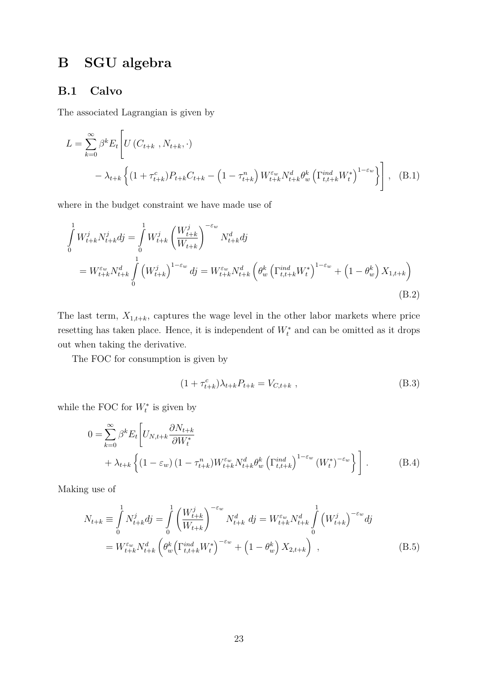# **B SGU algebra**

### **B.1 Calvo**

The associated Lagrangian is given by

$$
L = \sum_{k=0}^{\infty} \beta^k E_t \left[ U(C_{t+k}, N_{t+k}, \cdot) - \lambda_{t+k} \left\{ (1 + \tau_{t+k}^c) P_{t+k} C_{t+k} - (1 - \tau_{t+k}^n) W_{t+k}^{\varepsilon_w} N_{t+k}^d \theta_w^k \left( \Gamma_{t,t+k}^{ind} W_t^* \right)^{1 - \varepsilon_w} \right\} \right], \quad (B.1)
$$

where in the budget constraint we have made use of

$$
\int_{0}^{1} W_{t+k}^{j} N_{t+k}^{j} dj = \int_{0}^{1} W_{t+k}^{j} \left( \frac{W_{t+k}^{j}}{W_{t+k}} \right)^{-\varepsilon_{w}} N_{t+k}^{d} dj \n= W_{t+k}^{\varepsilon_{w}} N_{t+k}^{d} \int_{0}^{1} \left( W_{t+k}^{j} \right)^{1-\varepsilon_{w}} dj = W_{t+k}^{\varepsilon_{w}} N_{t+k}^{d} \left( \theta_{w}^{k} \left( \Gamma_{t,t+k}^{ind} W_{t}^{*} \right)^{1-\varepsilon_{w}} + \left( 1 - \theta_{w}^{k} \right) X_{1,t+k} \right) \n(B.2)
$$

The last term,  $X_{1,t+k}$ , captures the wage level in the other labor markets where price resetting has taken place. Hence, it is independent of  $W_t^*$  and can be omitted as it drops out when taking the derivative.

The FOC for consumption is given by

$$
(1 + \tau_{t+k}^c) \lambda_{t+k} P_{t+k} = V_{C,t+k} , \qquad (B.3)
$$

while the FOC for  $W_t^*$  is given by

<span id="page-24-0"></span>
$$
0 = \sum_{k=0}^{\infty} \beta^k E_t \left[ U_{N,t+k} \frac{\partial N_{t+k}}{\partial W_t^*} + \lambda_{t+k} \left\{ (1 - \varepsilon_w) \left( 1 - \tau_{t+k}^n \right) W_{t+k}^{\varepsilon_w} N_{t+k}^d \theta_w^k \left( \Gamma_{t,t+k}^{ind} \right)^{1 - \varepsilon_w} \left( W_t^* \right)^{-\varepsilon_w} \right\} \right].
$$
 (B.4)

Making use of

$$
N_{t+k} \equiv \int_{0}^{1} N_{t+k}^{j} dj = \int_{0}^{1} \left( \frac{W_{t+k}^{j}}{W_{t+k}} \right)^{-\varepsilon_{w}} N_{t+k}^{d} dj = W_{t+k}^{\varepsilon_{w}} N_{t+k}^{d} \int_{0}^{1} \left( W_{t+k}^{j} \right)^{-\varepsilon_{w}} dj = W_{t+k}^{\varepsilon_{w}} N_{t+k}^{d} \left( \theta_{w}^{k} \left( \Gamma_{t,t+k}^{ind} W_{t}^{*} \right)^{-\varepsilon_{w}} + \left( 1 - \theta_{w}^{k} \right) X_{2,t+k} \right) , \qquad (B.5)
$$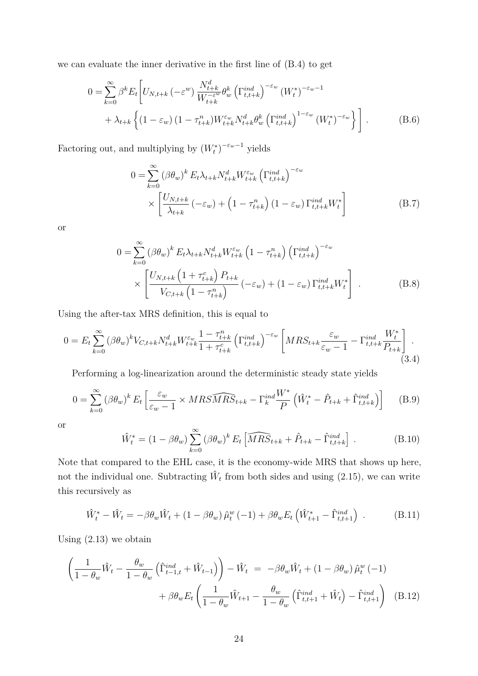we can evaluate the inner derivative in the first line of [\(B.4\)](#page-24-0) to get

$$
0 = \sum_{k=0}^{\infty} \beta^k E_t \left[ U_{N,t+k} \left( -\varepsilon^w \right) \frac{N_{t+k}^d}{W_{t+k}^{-\varepsilon^w}} \theta_w^k \left( \Gamma_{t,t+k}^{ind} \right)^{-\varepsilon_w} \left( W_t^* \right)^{-\varepsilon_w - 1} + \lambda_{t+k} \left\{ \left( 1 - \varepsilon_w \right) \left( 1 - \tau_{t+k}^n \right) W_{t+k}^{\varepsilon_w} N_{t+k}^d \theta_w^k \left( \Gamma_{t,t+k}^{ind} \right)^{1 - \varepsilon_w} \left( W_t^* \right)^{-\varepsilon_w} \right\} \right].
$$
 (B.6)

Factoring out, and multiplying by  $(W_t^*)^{-\varepsilon_w-1}$  yields

$$
0 = \sum_{k=0}^{\infty} (\beta \theta_w)^k E_t \lambda_{t+k} N_{t+k}^d W_{t+k}^{\varepsilon_w} (\Gamma_{t,t+k}^{ind})^{-\varepsilon_w}
$$
  
 
$$
\times \left[ \frac{U_{N,t+k}}{\lambda_{t+k}} (-\varepsilon_w) + \left(1 - \tau_{t+k}^n \right) (1 - \varepsilon_w) \Gamma_{t,t+k}^{ind} W_t^* \right]
$$
(B.7)

or

$$
0 = \sum_{k=0}^{\infty} (\beta \theta_w)^k E_t \lambda_{t+k} N_{t+k}^d W_{t+k}^{\varepsilon_w} \left(1 - \tau_{t+k}^n\right) \left(\Gamma_{t,t+k}^{ind}\right)^{-\varepsilon_w}
$$
  
 
$$
\times \left[ \frac{U_{N,t+k} \left(1 + \tau_{t+k}^c\right) P_{t+k}}{V_{C,t+k} \left(1 - \tau_{t+k}^n\right)} \left(-\varepsilon_w\right) + \left(1 - \varepsilon_w\right) \Gamma_{t,t+k}^{ind} W_t^* \right].
$$
 (B.8)

Using the after-tax MRS definition, this is equal to

$$
0 = E_t \sum_{k=0}^{\infty} (\beta \theta_w)^k V_{C,t+k} N_{t+k}^d W_{t+k}^{\varepsilon_w} \frac{1 - \tau_{t+k}^n}{1 + \tau_{t+k}^c} \left( \Gamma_{t,t+k}^{ind} \right)^{-\varepsilon_w} \left[ MRS_{t+k} \frac{\varepsilon_w}{\varepsilon_w - 1} - \Gamma_{t,t+k}^{ind} \frac{W_t^*}{P_{t+k}} \right]. \tag{3.4}
$$

Performing a log-linearization around the deterministic steady state yields

$$
0 = \sum_{k=0}^{\infty} (\beta \theta_w)^k E_t \left[ \frac{\varepsilon_w}{\varepsilon_w - 1} \times MRS\widehat{MRS}_{t+k} - \Gamma_k^{ind} \frac{W^*}{P} \left( \hat{W}_t^* - \hat{P}_{t+k} + \hat{\Gamma}_{t,t+k}^{ind} \right) \right]
$$
(B.9)

or

$$
\hat{W}_t^* = (1 - \beta \theta_w) \sum_{k=0}^{\infty} (\beta \theta_w)^k E_t \left[ \widehat{MRS}_{t+k} + \hat{P}_{t+k} - \hat{\Gamma}_{t,t+k}^{ind} \right].
$$
 (B.10)

Note that compared to the EHL case, it is the economy-wide MRS that shows up here, not the individual one. Subtracting  $\hat{W}_t$  from both sides and using [\(2.15\)](#page-7-1), we can write this recursively as

$$
\hat{W}_t^* - \hat{W}_t = -\beta \theta_w \hat{W}_t + (1 - \beta \theta_w) \hat{\mu}_t^w (-1) + \beta \theta_w E_t \left( \hat{W}_{t+1}^* - \hat{\Gamma}_{t,t+1}^{ind} \right) . \tag{B.11}
$$

Using [\(2.13\)](#page-7-4) we obtain

$$
\left(\frac{1}{1-\theta_w}\hat{W}_t - \frac{\theta_w}{1-\theta_w}\left(\hat{\Gamma}_{t-1,t}^{ind} + \hat{W}_{t-1}\right)\right) - \hat{W}_t = -\beta \theta_w \hat{W}_t + \left(1 - \beta \theta_w\right) \hat{\mu}_t^w \left(-1\right) + \beta \theta_w E_t \left(\frac{1}{1-\theta_w}\hat{W}_{t+1} - \frac{\theta_w}{1-\theta_w}\left(\hat{\Gamma}_{t,t+1}^{ind} + \hat{W}_t\right) - \hat{\Gamma}_{t,t+1}^{ind}\right) \tag{B.12}
$$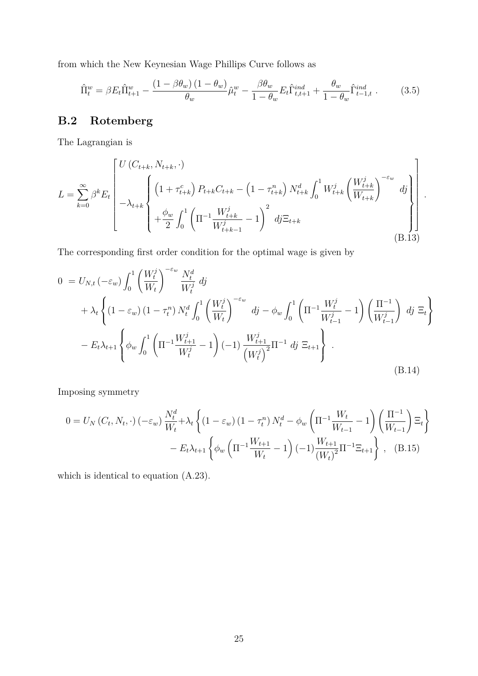from which the New Keynesian Wage Phillips Curve follows as

$$
\hat{\Pi}_t^w = \beta E_t \hat{\Pi}_{t+1}^w - \frac{(1 - \beta \theta_w)(1 - \theta_w)}{\theta_w} \hat{\mu}_t^w - \frac{\beta \theta_w}{1 - \theta_w} E_t \hat{\Gamma}_{t,t+1}^{ind} + \frac{\theta_w}{1 - \theta_w} \hat{\Gamma}_{t-1,t}^{ind}.
$$
 (3.5)

### **B.2 Rotemberg**

The Lagrangian is

$$
L = \sum_{k=0}^{\infty} \beta^k E_t \left[ \frac{U(C_{t+k}, N_{t+k}, \cdot)}{\left(1 + \tau_{t+k}^c\right) P_{t+k} C_{t+k} - \left(1 - \tau_{t+k}^n\right) N_{t+k}^d \int_0^1 W_{t+k}^j \left(\frac{W_{t+k}^j}{W_{t+k}}\right)^{-\varepsilon_w} dy \right] + \frac{\phi_w}{2} \int_0^1 \left(\Pi^{-1} \frac{W_{t+k}^j}{W_{t+k-1}^j} - 1\right)^2 dy \Xi_{t+k} \tag{B.13}
$$

The corresponding first order condition for the optimal wage is given by

$$
0 = U_{N,t} \left( -\varepsilon_w \right) \int_0^1 \left( \frac{W_t^j}{W_t} \right)^{-\varepsilon_w} \frac{N_t^d}{W_t^j} \, dj
$$
  
+  $\lambda_t \left\{ \left( 1 - \varepsilon_w \right) \left( 1 - \tau_t^n \right) N_t^d \int_0^1 \left( \frac{W_t^j}{W_t} \right)^{-\varepsilon_w} \, dj - \phi_w \int_0^1 \left( \Pi^{-1} \frac{W_t^j}{W_{t-1}^j} - 1 \right) \left( \frac{\Pi^{-1}}{W_{t-1}^j} \right) \, dj \, \Xi_t \right\}$   
-  $E_t \lambda_{t+1} \left\{ \phi_w \int_0^1 \left( \Pi^{-1} \frac{W_{t+1}^j}{W_t^j} - 1 \right) \left( -1 \right) \frac{W_{t+1}^j}{\left( W_t^j \right)^2} \Pi^{-1} \, dj \, \Xi_{t+1} \right\} .$   
(B.14)

Imposing symmetry

$$
0 = U_N(C_t, N_t, \cdot) (-\varepsilon_w) \frac{N_t^d}{W_t} + \lambda_t \left\{ (1 - \varepsilon_w) (1 - \tau_t^n) N_t^d - \phi_w \left( \Pi^{-1} \frac{W_t}{W_{t-1}} - 1 \right) \left( \frac{\Pi^{-1}}{W_{t-1}} \right) \Xi_t \right\}
$$

$$
- E_t \lambda_{t+1} \left\{ \phi_w \left( \Pi^{-1} \frac{W_{t+1}}{W_t} - 1 \right) (-1) \frac{W_{t+1}}{(W_t)^2} \Pi^{-1} \Xi_{t+1} \right\}, \quad (B.15)
$$

which is identical to equation [\(A.23\)](#page-22-1).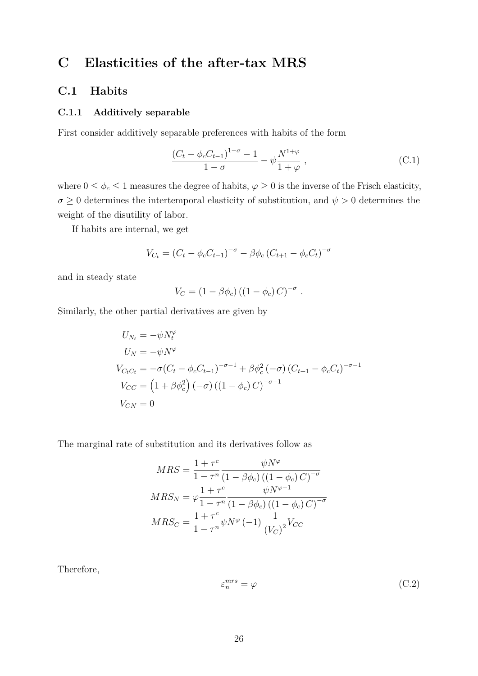# <span id="page-27-0"></span>**C Elasticities of the after-tax MRS**

#### **C.1 Habits**

#### **C.1.1 Additively separable**

First consider additively separable preferences with habits of the form

$$
\frac{(C_t - \phi_c C_{t-1})^{1-\sigma} - 1}{1 - \sigma} - \psi \frac{N^{1+\varphi}}{1+\varphi} ,
$$
 (C.1)

where  $0 \le \phi_c \le 1$  measures the degree of habits,  $\varphi \ge 0$  is the inverse of the Frisch elasticity,  $\sigma \geq 0$  determines the intertemporal elasticity of substitution, and  $\psi > 0$  determines the weight of the disutility of labor.

If habits are internal, we get

$$
V_{C_t} = (C_t - \phi_c C_{t-1})^{-\sigma} - \beta \phi_c (C_{t+1} - \phi_c C_t)^{-\sigma}
$$

and in steady state

$$
V_C = (1 - \beta \phi_c) ((1 - \phi_c) C)^{-\sigma}.
$$

Similarly, the other partial derivatives are given by

$$
U_{N_t} = -\psi N_t^{\varphi}
$$
  
\n
$$
U_N = -\psi N^{\varphi}
$$
  
\n
$$
V_{C_t C_t} = -\sigma (C_t - \phi_c C_{t-1})^{-\sigma - 1} + \beta \phi_c^2 (-\sigma) (C_{t+1} - \phi_c C_t)^{-\sigma - 1}
$$
  
\n
$$
V_{CC} = (1 + \beta \phi_c^2) (-\sigma) ((1 - \phi_c) C)^{-\sigma - 1}
$$
  
\n
$$
V_{CN} = 0
$$

The marginal rate of substitution and its derivatives follow as

$$
MRS = \frac{1 + \tau^c}{1 - \tau^n} \frac{\psi N^{\varphi}}{(1 - \beta \phi_c) \left( (1 - \phi_c) C \right)^{-\sigma}}
$$

$$
MRS_N = \varphi \frac{1 + \tau^c}{1 - \tau^n} \frac{\psi N^{\varphi - 1}}{(1 - \beta \phi_c) \left( (1 - \phi_c) C \right)^{-\sigma}}
$$

$$
MRS_C = \frac{1 + \tau^c}{1 - \tau^n} \psi N^{\varphi} (-1) \frac{1}{\left( V_C \right)^2} V_{CC}
$$

Therefore,

$$
\varepsilon_n^{mrs} = \varphi \tag{C.2}
$$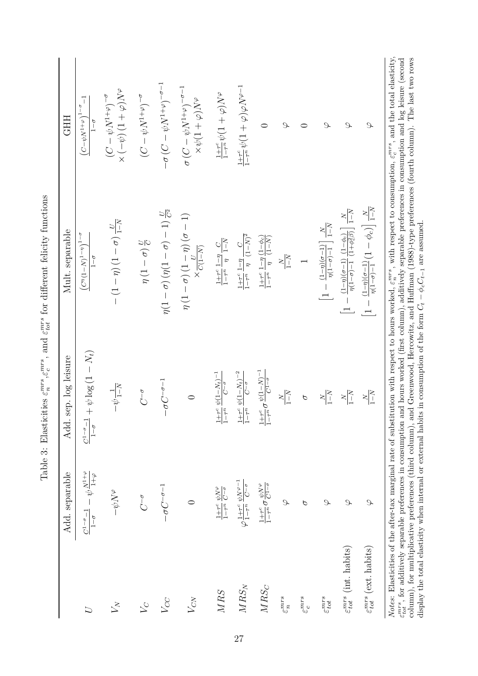|                                         | Add. separable                                                           | Add. sep. log leisure                                                                                                        | Mult. separable                                                                                                                                                                                                                                                                                                                                                                                                                                                                                                                                              | <b>GHH</b>                                                                                  |
|-----------------------------------------|--------------------------------------------------------------------------|------------------------------------------------------------------------------------------------------------------------------|--------------------------------------------------------------------------------------------------------------------------------------------------------------------------------------------------------------------------------------------------------------------------------------------------------------------------------------------------------------------------------------------------------------------------------------------------------------------------------------------------------------------------------------------------------------|---------------------------------------------------------------------------------------------|
| $\overline{U}$                          | $-\psi\frac{N^{1+\varphi}}{1+\varphi}$<br>$C^{1-\sigma}-1$<br>$1-\sigma$ | $+\psi\log\left(1-N_{t}\right)$<br>$C^{1-\sigma}-1$<br>$1-\sigma$                                                            | $\left(C^{\eta}\left(1-N\right)^{1-\eta}\right)^{1-\sigma}$<br>$\frac{6}{1}$                                                                                                                                                                                                                                                                                                                                                                                                                                                                                 | ī<br>$\left(C\!-\!\psi N^{1+\varphi}\right)^{1-\sigma}$<br>$1-\sigma$                       |
| $\bar{V}_{N}$                           | $\sigma N \phi -$                                                        | $-\psi \frac{1}{1-N}$                                                                                                        | $-(1-\eta)(1-\sigma)\frac{U}{1-N}$                                                                                                                                                                                                                                                                                                                                                                                                                                                                                                                           | $\lambda N(\phi+1)(\psi-\chi)$<br>$(\mathcal{C}-\psi N^{1+\varphi})^{-\sigma}$              |
| $\overline{C}$                          | $C^{-\sigma}$                                                            | $C^{-\sigma}$                                                                                                                | $\eta(1-\sigma)\frac{U}{G}$                                                                                                                                                                                                                                                                                                                                                                                                                                                                                                                                  | $(C - \psi N^{1 + \varphi})^{-\sigma}$                                                      |
| $V_{CC}$                                | $-\sigma C^{-\sigma-1}$                                                  | $-\sigma C^{-\sigma-1}$                                                                                                      | $\eta(1-\sigma)(\eta(1-\sigma)-1)$                                                                                                                                                                                                                                                                                                                                                                                                                                                                                                                           | $-\sigma\left(C-\psi N^{1+\varphi}\right)^{-\sigma-1}$                                      |
| $V_{CN}$                                | 0                                                                        | $\circ$                                                                                                                      | $\eta\left(1-\sigma\right)\left(1-\eta\right)\left(\sigma-1\right) \\ \times \frac{U}{C(1-N)}$                                                                                                                                                                                                                                                                                                                                                                                                                                                               | $\sigma\left(C-\psi N^{1+\varphi}\right)^{-\sigma-1}$<br>$\alpha\gamma(\gamma+1)\phi\times$ |
| $MRS$                                   | $\frac{1+\tau^c}{1-\tau^n}\frac{\psi N^\varphi}{C^{-\sigma}}$            | $\frac{1+\tau^c}{1-\tau^n}\frac{\psi(1-N_t)^{-1}}{C^{-\sigma}}$                                                              | $\frac{1+\tau^c}{1-\tau^n} \, \frac{1-\eta}{\eta} \, \frac{C}{1-N}$                                                                                                                                                                                                                                                                                                                                                                                                                                                                                          | $\frac{1+\tau^c}{1-\tau^n}\psi(1+\varphi)N^{\varphi}$                                       |
| $MRS_N$                                 | $\varphi\frac{1+\tau^c}{1-\tau^n}\frac{\psi N^{\varphi-1}}{C^{-\sigma}}$ | $\frac{1+\tau^c}{1-\tau^n}\frac{\psi(1-N_t)^{-2}}{C^{-\sigma}}$                                                              | $\frac{1+\tau^c}{1-\tau^n} \ \frac{1-\eta}{\eta} \ \frac{C}{\left(1-N\right)^2}$                                                                                                                                                                                                                                                                                                                                                                                                                                                                             | $\frac{1+\tau^c}{1-\tau^n}\psi(1+\varphi)\varphi N^{\varphi-1}$                             |
| $MRS_C$                                 | $\frac{1+\tau^c}{1-\tau^n}\sigma\frac{\psi N^\varphi}{C^{1-\sigma}}$     | $\frac{1+\tau^c}{1-\tau^n}\sigma\frac{\psi(1-N)^{-1}}{C^{1-\sigma}}$                                                         | $\frac{1+\tau^c}{1-\tau^n} \, \frac{1-\eta}{\eta} \, \frac{(1-\phi_c)}{(1-N)}$                                                                                                                                                                                                                                                                                                                                                                                                                                                                               | 0                                                                                           |
| $\varepsilon_n^{mrs}$                   | P                                                                        | $\sqrt{1-N}$                                                                                                                 | $\sqrt{-1}$<br>$\geq$                                                                                                                                                                                                                                                                                                                                                                                                                                                                                                                                        | P                                                                                           |
| $\varepsilon_{c}^{mrs}$                 | $\sigma$                                                                 | $\sigma$                                                                                                                     |                                                                                                                                                                                                                                                                                                                                                                                                                                                                                                                                                              |                                                                                             |
| $\varepsilon_{tot}^{mrs}$               | $\mathcal{P}$                                                            | $1 - N$<br>$\mathbf{z}$                                                                                                      | $\left[1-\tfrac{(1-\eta)(\sigma-1)}{\eta(1-\sigma)-1}\right]\tfrac{N}{1-N}$                                                                                                                                                                                                                                                                                                                                                                                                                                                                                  | $\mathcal{F}$                                                                               |
| $\varepsilon_{tot}^{mrs}$ (int. habits) | $\mathcal{S}$                                                            | $\frac{N-1}{N}$                                                                                                              | $\left[1-\frac{(1-\eta)(\sigma-1)}{\eta(1-\sigma)-1}\frac{(1-\phi_c)}{(1+\phi_c^2\beta)}\right]\frac{N}{1-N}$                                                                                                                                                                                                                                                                                                                                                                                                                                                | P                                                                                           |
| $\varepsilon_{tot}^{mrs}$ (ext. habits) | $\mathcal{L}$                                                            | $\frac{N-1}{N}$                                                                                                              | $\frac{(1-\eta)(\sigma-1)}{\eta(1-\sigma)-1}(1-\phi_c)\Big]\frac{N}{1-N}$<br>$\frac{1}{1}$                                                                                                                                                                                                                                                                                                                                                                                                                                                                   | $\mathcal{L}$                                                                               |
|                                         |                                                                          | display the total elasticity when internal or external habits in consumption of the form $C_t - \phi_c C_{t-1}$ are assumed. | Notes: Elasticities of the after-tax marginal rate of substitution with respect to hours worked, $\varepsilon_n^{mr}$ , with respect to consumption, $\varepsilon_c^{mr}$ , and the total elasticity,<br>$\varepsilon_{tot}^{ms}$ , for additively separable preferences in consumption and hours worked (first column), additively separable preferences in consumption and log leisure (second<br>column), for multiplicative preferences (third column), and Greenwood, Hercowitz, and Huffman (1988)-type preferences (fourth column). The last two rows |                                                                                             |

display the total elasticity when internal or external habits in consumption of the form  $C_t - \phi_c C_{t-1}$  are assumed.

Table 3: Elasticities  $\varepsilon_n^{mrs}$ ,  $\varepsilon_c^{mrs}$ , and  $\varepsilon_{tot}^{mrs}$  for different felicity functions Table 3: Elasticities *εmrs n* ,*εmrs c* , and *εmrs tot* for different felicity functions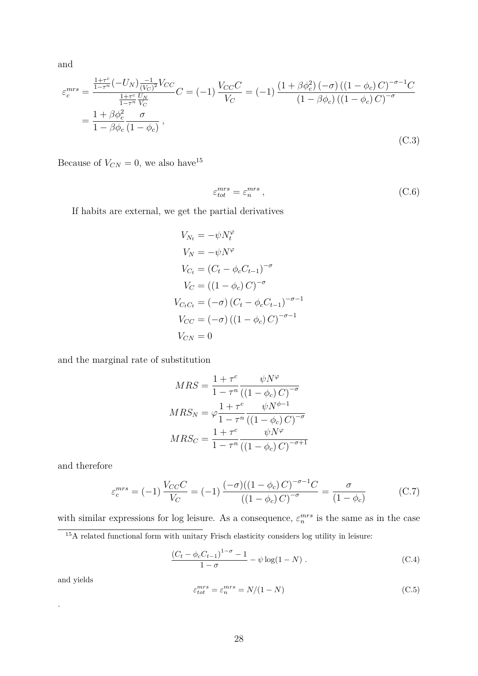and

$$
\varepsilon_c^{mrs} = \frac{\frac{1+\tau^c}{1-\tau^n}(-U_N)\frac{-1}{(V_C)^2}V_{CC}}{\frac{1+\tau^c}{1-\tau^n}\frac{U_N}{V_C}}C = (-1)\frac{V_{CC}C}{V_C} = (-1)\frac{(1+\beta\phi_c^2)(-\sigma)((1-\phi_c)C)^{-\sigma-1}C}{(1-\beta\phi_c)((1-\phi_c)C)^{-\sigma}}
$$

$$
= \frac{1+\beta\phi_c^2}{1-\beta\phi_c}\frac{\sigma}{(1-\phi_c)},
$$
(C.3)

Because of  $V_{CN} = 0$ , we also have<sup>[15](#page-29-0)</sup>

$$
\varepsilon_{tot}^{mrs} = \varepsilon_n^{mrs} \,,\tag{C.6}
$$

If habits are external, we get the partial derivatives

$$
V_{N_t} = -\psi N_t^{\varphi}
$$
  
\n
$$
V_N = -\psi N^{\varphi}
$$
  
\n
$$
V_{C_t} = (C_t - \phi_c C_{t-1})^{-\sigma}
$$
  
\n
$$
V_C = ((1 - \phi_c) C)^{-\sigma}
$$
  
\n
$$
V_{C_t C_t} = (-\sigma) (C_t - \phi_c C_{t-1})^{-\sigma - 1}
$$
  
\n
$$
V_{CC} = (-\sigma) ((1 - \phi_c) C)^{-\sigma - 1}
$$
  
\n
$$
V_{CN} = 0
$$

and the marginal rate of substitution

$$
MRS = \frac{1 + \tau^c}{1 - \tau^n} \frac{\psi N^{\varphi}}{\left( (1 - \phi_c) C \right)^{-\sigma}}
$$

$$
MRS_N = \varphi \frac{1 + \tau^c}{1 - \tau^n} \frac{\psi N^{\phi - 1}}{\left( (1 - \phi_c) C \right)^{-\sigma}}
$$

$$
MRS_C = \frac{1 + \tau^c}{1 - \tau^n} \frac{\psi N^{\varphi}}{\left( (1 - \phi_c) C \right)^{-\sigma + 1}}
$$

and therefore

$$
\varepsilon_c^{mrs} = (-1) \frac{V_{CC}C}{V_C} = (-1) \frac{(-\sigma)((1 - \phi_c)C)^{-\sigma - 1}C}{((1 - \phi_c)C)^{-\sigma}} = \frac{\sigma}{(1 - \phi_c)}
$$
(C.7)

with similar expressions for log leisure. As a consequence,  $\varepsilon_n^{mrs}$  is the same as in the case

<span id="page-29-0"></span> $^{15}\mathrm{A}$  related functional form with unitary Frisch elasticity considers log utility in leisure:

$$
\frac{(C_t - \phi_c C_{t-1})^{1-\sigma} - 1}{1 - \sigma} - \psi \log(1 - N) .
$$
 (C.4)

and yields

.

<span id="page-29-1"></span>
$$
\varepsilon_{tot}^{mrs} = \varepsilon_n^{mrs} = N/(1 - N) \tag{C.5}
$$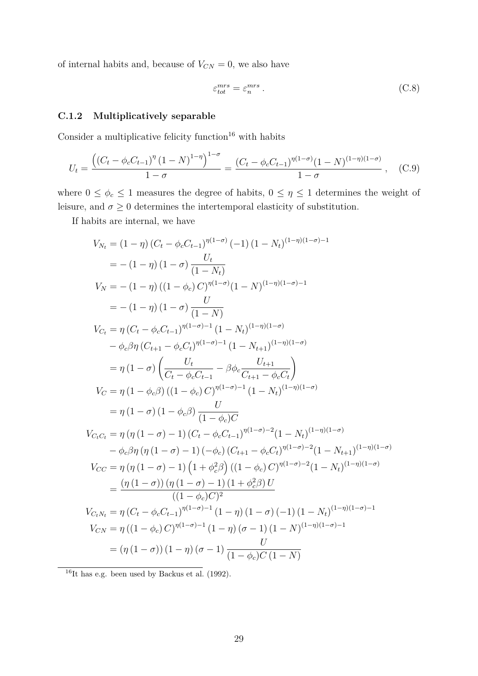of internal habits and, because of  $V_{CN} = 0$ , we also have

$$
\varepsilon_{tot}^{mrs} = \varepsilon_n^{mrs} \,. \tag{C.8}
$$

#### <span id="page-30-0"></span>**C.1.2 Multiplicatively separable**

Consider a multiplicative felicity function $16$  with habits

$$
U_t = \frac{\left( (C_t - \phi_c C_{t-1})^{\eta} (1 - N)^{1 - \eta} \right)^{1 - \sigma}}{1 - \sigma} = \frac{(C_t - \phi_c C_{t-1})^{\eta (1 - \sigma)} (1 - N)^{(1 - \eta)(1 - \sigma)}}{1 - \sigma}, \quad (C.9)
$$

where  $0 \le \phi_c \le 1$  measures the degree of habits,  $0 \le \eta \le 1$  determines the weight of leisure, and  $\sigma\geq 0$  determines the intertemporal elasticity of substitution.

If habits are internal, we have

$$
V_{N_t} = (1 - \eta) (C_t - \phi_c C_{t-1})^{\eta(1-\sigma)} (-1) (1 - N_t)^{(1-\eta)(1-\sigma)-1}
$$
  
\n
$$
= -(1 - \eta) (1 - \sigma) \frac{U_t}{(1 - N_t)}
$$
  
\n
$$
V_N = -(1 - \eta) ((1 - \phi_c) C)^{\eta(1-\sigma)} (1 - N)^{(1-\eta)(1-\sigma)-1}
$$
  
\n
$$
= -(1 - \eta) (1 - \sigma) \frac{U}{(1 - N)}
$$
  
\n
$$
V_{C_t} = \eta (C_t - \phi_c C_{t-1})^{\eta(1-\sigma)-1} (1 - N_t)^{(1-\eta)(1-\sigma)}
$$
  
\n
$$
- \phi_c \beta \eta (C_{t+1} - \phi_c C_t)^{\eta(1-\sigma)-1} (1 - N_{t+1})^{(1-\eta)(1-\sigma)}
$$
  
\n
$$
= \eta (1 - \sigma) \left( \frac{U_t}{C_t - \phi_c C_{t-1}} - \beta \phi_c \frac{U_{t+1}}{C_{t+1} - \phi_c C_t} \right)
$$
  
\n
$$
V_C = \eta (1 - \phi_c \beta) ((1 - \phi_c) C)^{\eta(1-\sigma)-1} (1 - N_t)^{(1-\eta)(1-\sigma)}
$$
  
\n
$$
= \eta (1 - \sigma) (1 - \phi_c \beta) \frac{U}{(1 - \phi_c) C}
$$
  
\n
$$
V_{C_t C_t} = \eta (\eta (1 - \sigma) - 1) (C_t - \phi_c C_{t-1})^{\eta(1-\sigma)-2} (1 - N_t)^{(1-\eta)(1-\sigma)}
$$
  
\n
$$
- \phi_c \beta \eta (\eta (1 - \sigma) - 1) (-\phi_c) (C_{t+1} - \phi_c C_t)^{\eta(1-\sigma)-2} (1 - N_{t+1})^{(1-\eta)(1-\sigma)}
$$
  
\n
$$
V_{CC} = \eta (\eta (1 - \sigma) - 1) (1 + \phi_c^2 \beta) ((1 - \phi_c) C)^{\eta(1-\sigma)-2} (1 - N_t)^{(1-\eta)(1-\sigma)}
$$
  
\n
$$
= \frac{(\eta (1 - \sigma)) (\eta (1 - \sigma) - 1) (1 + \phi_c^2 \beta) U}{((1 - \phi_c) C)^2}
$$
  
\n<math display="block</math>

<span id="page-30-1"></span> $16$ It has e.g. been used by Backus et al. [\(1992\)](#page-16-15).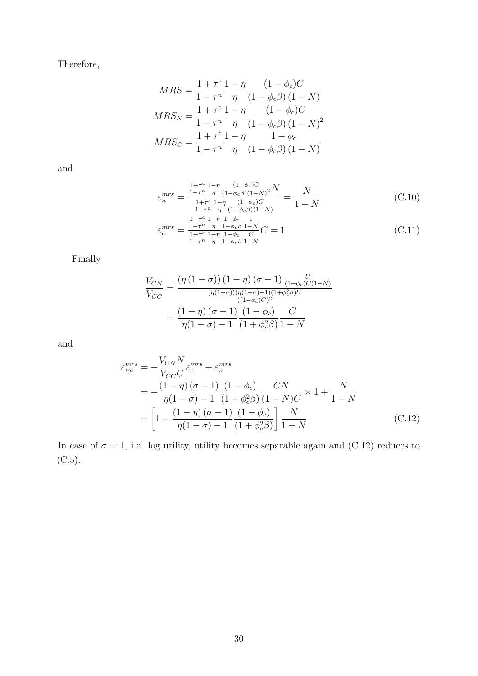Therefore,

$$
MRS = \frac{1 + \tau^c}{1 - \tau^n} \frac{1 - \eta}{\eta} \frac{(1 - \phi_c)C}{(1 - \phi_c \beta)(1 - N)}
$$
  

$$
MRS_N = \frac{1 + \tau^c}{1 - \tau^n} \frac{1 - \eta}{\eta} \frac{(1 - \phi_c)C}{(1 - \phi_c \beta)(1 - N)^2}
$$
  

$$
MRS_C = \frac{1 + \tau^c}{1 - \tau^n} \frac{1 - \eta}{\eta} \frac{1 - \phi_c}{(1 - \phi_c \beta)(1 - N)}
$$

and

$$
\varepsilon_n^{mrs} = \frac{\frac{1+\tau^c}{1-\tau^n} \frac{1-\eta}{\eta} \frac{(1-\phi_c)C}{(1-\phi_c\beta)(1-N)^2} N}{\frac{1+\tau^c}{1-\tau^n} \frac{1-\eta}{\eta} \frac{(1-\phi_c)C}{(1-\phi_c\beta)(1-N)}} = \frac{N}{1-N}
$$
(C.10)

$$
\varepsilon_c^{mrs} = \frac{\frac{1+\tau^c}{1-\eta} \frac{1-\phi_c}{\eta} \frac{1}{1-\phi_c \beta} \frac{1}{1-N}}{\frac{1+\tau^c}{1-\eta} \frac{1-\eta}{\eta} \frac{1-\phi_c}{1-\phi_c \beta} \frac{C}{1-N}} C = 1
$$
\n(C.11)

Finally

$$
\frac{V_{CN}}{V_{CC}} = \frac{\left(\eta\left(1-\sigma\right)\right)\left(1-\eta\right)\left(\sigma-1\right)\frac{U}{\left(1-\phi_c\right)C\left(1-N\right)}}{\frac{\left(\eta(1-\sigma)\right)\left(\eta(1-\sigma)-1\right)\left(1+\phi_c^2\beta\right)U}{\left((1-\phi_c)\right)^2}}}{\frac{\left(1-\eta\right)\left(\sigma-1\right)}{\eta(1-\sigma)-1}\frac{\left(1-\phi_c\right)}{\left(1+\phi_c^2\beta\right)}\frac{C}{1-N}}
$$

<span id="page-31-0"></span>and

$$
\varepsilon_{tot}^{mrs} = -\frac{V_{CN}N}{V_{CC}C} \varepsilon_c^{mrs} + \varepsilon_n^{mrs}
$$
\n
$$
= -\frac{(1-\eta)(\sigma-1)}{\eta(1-\sigma)-1} \frac{(1-\phi_c)}{(1+\phi_c^2\beta)} \frac{CN}{(1-N)C} \times 1 + \frac{N}{1-N}
$$
\n
$$
= \left[1 - \frac{(1-\eta)(\sigma-1)}{\eta(1-\sigma)-1} \frac{(1-\phi_c)}{(1+\phi_c^2\beta)}\right] \frac{N}{1-N}
$$
\n(C.12)

In case of  $\sigma = 1$ , i.e. log utility, utility becomes separable again and [\(C.12\)](#page-31-0) reduces to [\(C.5\)](#page-29-1).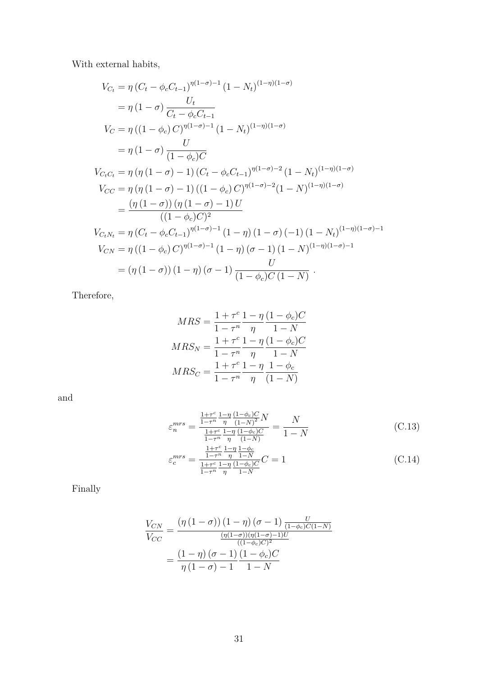With external habits,

$$
V_{C_t} = \eta (C_t - \phi_c C_{t-1})^{\eta(1-\sigma)-1} (1 - N_t)^{(1-\eta)(1-\sigma)}
$$
  
\n
$$
= \eta (1 - \sigma) \frac{U_t}{C_t - \phi_c C_{t-1}}
$$
  
\n
$$
V_C = \eta ((1 - \phi_c) C)^{\eta(1-\sigma)-1} (1 - N_t)^{(1-\eta)(1-\sigma)}
$$
  
\n
$$
= \eta (1 - \sigma) \frac{U}{(1 - \phi_c)C}
$$
  
\n
$$
V_{C_t C_t} = \eta (\eta (1 - \sigma) - 1) (C_t - \phi_c C_{t-1})^{\eta(1-\sigma)-2} (1 - N_t)^{(1-\eta)(1-\sigma)}
$$
  
\n
$$
V_{CC} = \eta (\eta (1 - \sigma) - 1) ((1 - \phi_c) C)^{\eta(1-\sigma)-2} (1 - N)^{(1-\eta)(1-\sigma)}
$$
  
\n
$$
= \frac{(\eta (1 - \sigma)) (\eta (1 - \sigma) - 1) U}{((1 - \phi_c) C)^2}
$$
  
\n
$$
V_{C_t N_t} = \eta (C_t - \phi_c C_{t-1})^{\eta(1-\sigma)-1} (1 - \eta) (1 - \sigma) (-1) (1 - N_t)^{(1-\eta)(1-\sigma)-1}
$$
  
\n
$$
V_{CN} = \eta ((1 - \phi_c) C)^{\eta(1-\sigma)-1} (1 - \eta) (\sigma - 1) (1 - N)^{(1-\eta)(1-\sigma)-1}
$$
  
\n
$$
= (\eta (1 - \sigma)) (1 - \eta) (\sigma - 1) \frac{U}{(1 - \phi_c)C (1 - N)}.
$$

Therefore,

$$
MRS = \frac{1 + \tau^c}{1 - \tau^n} \frac{1 - \eta}{\eta} \frac{(1 - \phi_c)C}{1 - N}
$$

$$
MRS_N = \frac{1 + \tau^c}{1 - \tau^n} \frac{1 - \eta}{\eta} \frac{(1 - \phi_c)C}{1 - N}
$$

$$
MRS_C = \frac{1 + \tau^c}{1 - \tau^n} \frac{1 - \eta}{\eta} \frac{1 - \phi_c}{(1 - N)}
$$

and

$$
\varepsilon_n^{mrs} = \frac{\frac{1+\tau^c}{1-\tau^n} \frac{1-\eta}{\eta} \frac{(1-\phi_c)C}{(1-N)^2} N}{\frac{1+\tau^c}{1-\tau^n} \frac{1-\eta}{\eta} \frac{(1-\phi_c)C}{(1-N)}} = \frac{N}{1-N}
$$
(C.13)

$$
\varepsilon_c^{mrs} = \frac{\frac{1+\tau^c}{1-\tau^n} \frac{1-\eta}{\eta} \frac{1-\phi_c}{1-N}}{\frac{1+\tau^c}{1-\tau^n} \frac{1-\eta}{\eta} \frac{(1-\phi_c)C}{1-N}} C = 1
$$
\n(C.14)

Finally

$$
\frac{V_{CN}}{V_{CC}} = \frac{\left(\eta\left(1-\sigma\right)\right)\left(1-\eta\right)\left(\sigma-1\right)\frac{U}{(1-\phi_c)C(1-N)}}{\frac{\left(\eta(1-\sigma)\right)\left(\eta(1-\sigma)-1\right)U}{\left((1-\phi_c)C\right)^2}}
$$
\n
$$
= \frac{\left(1-\eta\right)\left(\sigma-1\right)\left(1-\phi_c\right)C}{\eta\left(1-\sigma\right)-1\quad1-N}
$$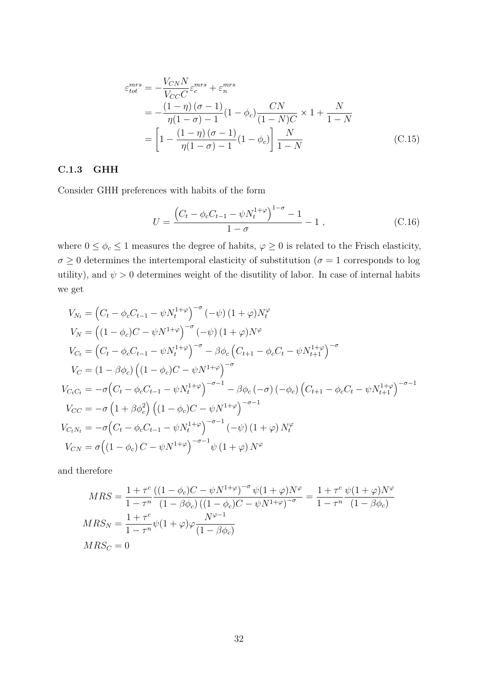$$
\varepsilon_{tot}^{mrs} = -\frac{V_{CN}N}{V_{CC}C} \varepsilon_c^{mrs} + \varepsilon_n^{mrs}
$$
  
= 
$$
-\frac{(1-\eta)(\sigma-1)}{\eta(1-\sigma)-1} (1-\phi_c) \frac{CN}{(1-N)C} \times 1 + \frac{N}{1-N}
$$
  
= 
$$
\left[1 - \frac{(1-\eta)(\sigma-1)}{\eta(1-\sigma)-1} (1-\phi_c)\right] \frac{N}{1-N}
$$
(C.15)

#### **C.1.3 GHH**

Consider GHH preferences with habits of the form

$$
U = \frac{\left(C_t - \phi_c C_{t-1} - \psi N_t^{1+\varphi}\right)^{1-\sigma} - 1}{1-\sigma} - 1 \,, \tag{C.16}
$$

where  $0 \le \phi_c \le 1$  measures the degree of habits,  $\varphi \ge 0$  is related to the Frisch elasticity,  $\sigma \geq 0$  determines the intertemporal elasticity of substitution ( $\sigma = 1$  corresponds to log utility), and  $\psi > 0$  determines weight of the disutility of labor. In case of internal habits we get

$$
V_{N_t} = (C_t - \phi_c C_{t-1} - \psi N_t^{1+\varphi})^{-\sigma} (-\psi) (1+\varphi) N_t^{\varphi}
$$
  
\n
$$
V_N = ((1-\phi_c)C - \psi N^{1+\varphi})^{-\sigma} (-\psi) (1+\varphi) N^{\varphi}
$$
  
\n
$$
V_{C_t} = (C_t - \phi_c C_{t-1} - \psi N_t^{1+\varphi})^{-\sigma} - \beta \phi_c (C_{t+1} - \phi_c C_t - \psi N_{t+1}^{1+\varphi})^{-\sigma}
$$
  
\n
$$
V_C = (1-\beta \phi_c) ((1-\phi_c)C - \psi N^{1+\varphi})^{-\sigma}
$$
  
\n
$$
V_{C_t C_t} = -\sigma (C_t - \phi_c C_{t-1} - \psi N_t^{1+\varphi})^{-\sigma-1} - \beta \phi_c (-\sigma) (-\phi_c) (C_{t+1} - \phi_c C_t - \psi N_{t+1}^{1+\varphi})^{-\sigma-1}
$$
  
\n
$$
V_{CC} = -\sigma (1+\beta \phi_c^2) ((1-\phi_c)C - \psi N^{1+\varphi})^{-\sigma-1}
$$
  
\n
$$
V_{C_t N_t} = -\sigma (C_t - \phi_c C_{t-1} - \psi N_t^{1+\varphi})^{-\sigma-1} (-\psi) (1+\varphi) N_t^{\varphi}
$$
  
\n
$$
V_{CN} = \sigma ((1-\phi_c)C - \psi N^{1+\varphi})^{-\sigma-1} \psi (1+\varphi) N^{\varphi}
$$

and therefore

$$
MRS = \frac{1 + \tau^c}{1 - \tau^n} \frac{((1 - \phi_c)C - \psi N^{1 + \varphi})^{-\sigma} \psi (1 + \varphi) N^{\varphi}}{(1 - \beta \phi_c) ((1 - \phi_c)C - \psi N^{1 + \varphi})^{-\sigma}} = \frac{1 + \tau^c}{1 - \tau^n} \frac{\psi (1 + \varphi) N^{\varphi}}{(1 - \beta \phi_c)}
$$
  
\n
$$
MRS_N = \frac{1 + \tau^c}{1 - \tau^n} \psi (1 + \varphi) \varphi \frac{N^{\varphi - 1}}{(1 - \beta \phi_c)}
$$
  
\n
$$
MRS_C = 0
$$